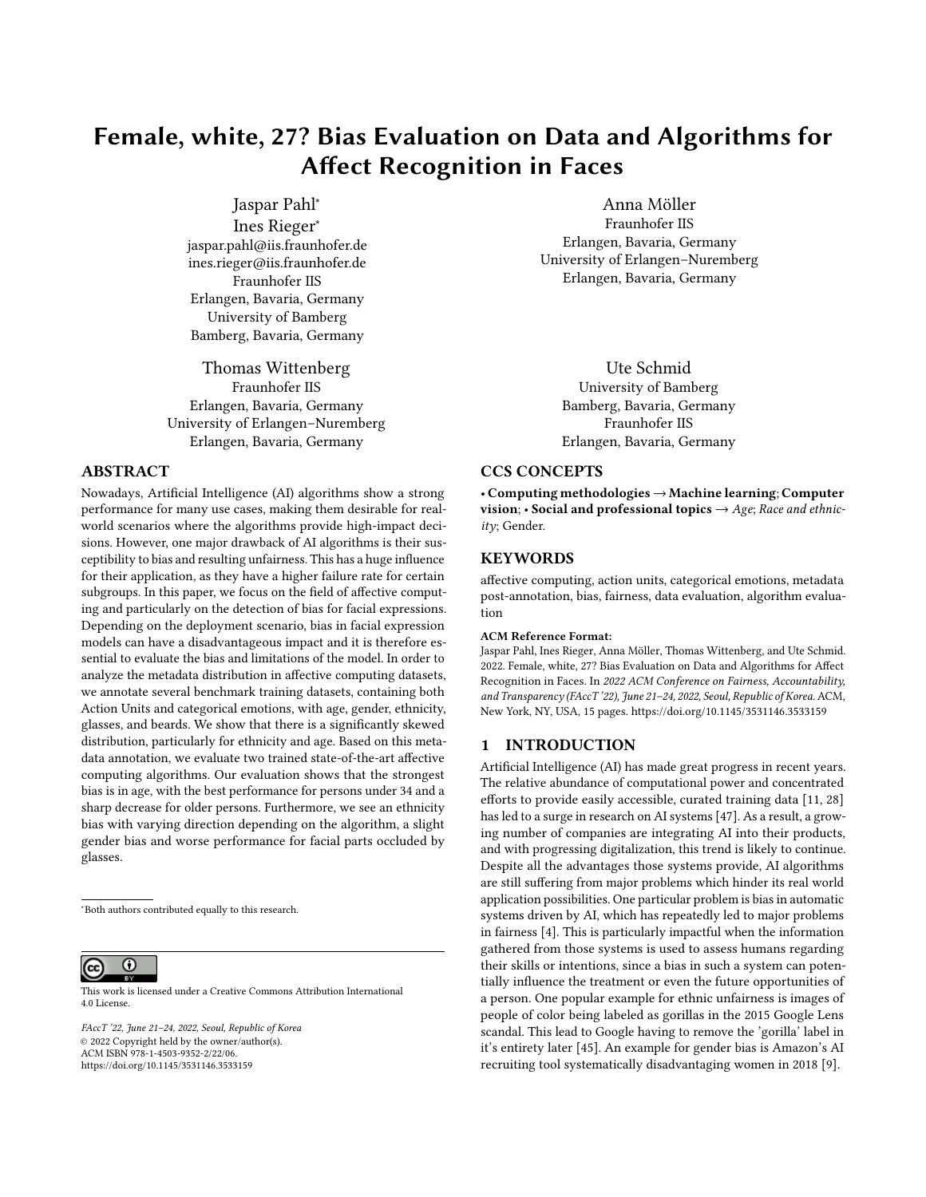# Female, white, 27? Bias Evaluation on Data and Algorithms for Affect Recognition in Faces

Jaspar Pahl<sup>∗</sup> Ines Rieger<sup>∗</sup> jaspar.pahl@iis.fraunhofer.de ines.rieger@iis.fraunhofer.de Fraunhofer IIS Erlangen, Bavaria, Germany University of Bamberg Bamberg, Bavaria, Germany

Thomas Wittenberg Fraunhofer IIS Erlangen, Bavaria, Germany University of Erlangen–Nuremberg Erlangen, Bavaria, Germany

### ABSTRACT

Nowadays, Artificial Intelligence (AI) algorithms show a strong performance for many use cases, making them desirable for realworld scenarios where the algorithms provide high-impact decisions. However, one major drawback of AI algorithms is their susceptibility to bias and resulting unfairness. This has a huge influence for their application, as they have a higher failure rate for certain subgroups. In this paper, we focus on the field of affective computing and particularly on the detection of bias for facial expressions. Depending on the deployment scenario, bias in facial expression models can have a disadvantageous impact and it is therefore essential to evaluate the bias and limitations of the model. In order to analyze the metadata distribution in affective computing datasets, we annotate several benchmark training datasets, containing both Action Units and categorical emotions, with age, gender, ethnicity, glasses, and beards. We show that there is a significantly skewed distribution, particularly for ethnicity and age. Based on this metadata annotation, we evaluate two trained state-of-the-art affective computing algorithms. Our evaluation shows that the strongest bias is in age, with the best performance for persons under 34 and a sharp decrease for older persons. Furthermore, we see an ethnicity bias with varying direction depending on the algorithm, a slight gender bias and worse performance for facial parts occluded by glasses.

<sup>∗</sup>Both authors contributed equally to this research.

 $\overline{\odot}$ (cc)

This work is licensed under a [Creative Commons Attribution International](https://creativecommons.org/licenses/by/4.0/) [4.0 License.](https://creativecommons.org/licenses/by/4.0/)

FAccT '22, June 21–24, 2022, Seoul, Republic of Korea © 2022 Copyright held by the owner/author(s). ACM ISBN 978-1-4503-9352-2/22/06. <https://doi.org/10.1145/3531146.3533159>

Anna Möller Fraunhofer IIS Erlangen, Bavaria, Germany University of Erlangen–Nuremberg Erlangen, Bavaria, Germany

Ute Schmid University of Bamberg Bamberg, Bavaria, Germany Fraunhofer IIS Erlangen, Bavaria, Germany

#### CCS CONCEPTS

• Computing methodologies → Machine learning; Computer vision; • Social and professional topics  $\rightarrow$  Age; Race and ethnicity; Gender.

#### KEYWORDS

affective computing, action units, categorical emotions, metadata post-annotation, bias, fairness, data evaluation, algorithm evaluation

#### ACM Reference Format:

Jaspar Pahl, Ines Rieger, Anna Möller, Thomas Wittenberg, and Ute Schmid. 2022. Female, white, 27? Bias Evaluation on Data and Algorithms for Affect Recognition in Faces. In 2022 ACM Conference on Fairness, Accountability, and Transparency (FAccT '22), June 21–24, 2022, Seoul, Republic of Korea. ACM, New York, NY, USA, [15](#page-14-0) pages.<https://doi.org/10.1145/3531146.3533159>

## 1 INTRODUCTION

Artificial Intelligence (AI) has made great progress in recent years. The relative abundance of computational power and concentrated efforts to provide easily accessible, curated training data [\[11,](#page-10-0) [28\]](#page-10-1) has led to a surge in research on AI systems [\[47\]](#page-11-0). As a result, a growing number of companies are integrating AI into their products, and with progressing digitalization, this trend is likely to continue. Despite all the advantages those systems provide, AI algorithms are still suffering from major problems which hinder its real world application possibilities. One particular problem is bias in automatic systems driven by AI, which has repeatedly led to major problems in fairness [\[4\]](#page-10-2). This is particularly impactful when the information gathered from those systems is used to assess humans regarding their skills or intentions, since a bias in such a system can potentially influence the treatment or even the future opportunities of a person. One popular example for ethnic unfairness is images of people of color being labeled as gorillas in the 2015 Google Lens scandal. This lead to Google having to remove the 'gorilla' label in it's entirety later [\[45\]](#page-11-1). An example for gender bias is Amazon's AI recruiting tool systematically disadvantaging women in 2018 [\[9\]](#page-10-3).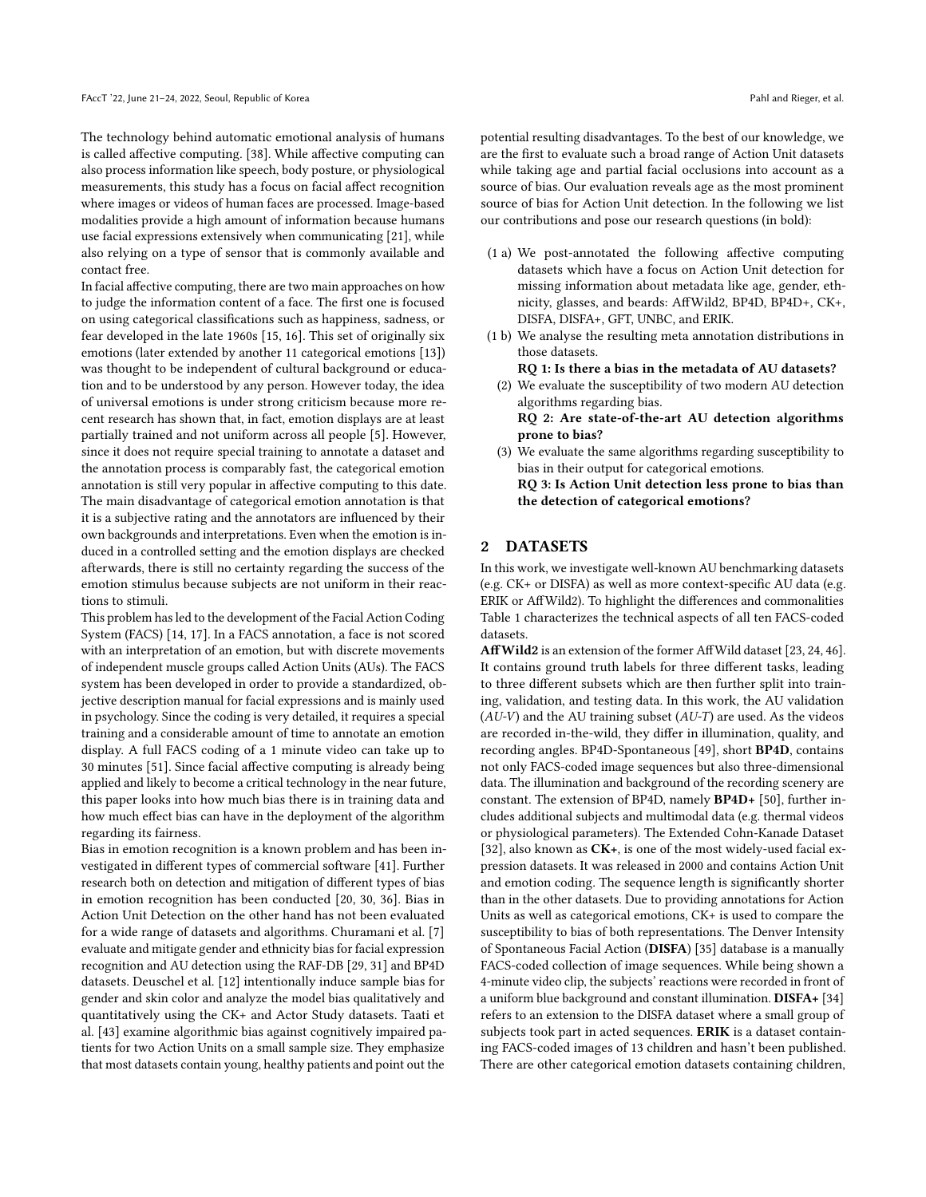The technology behind automatic emotional analysis of humans is called affective computing. [\[38\]](#page-11-2). While affective computing can also process information like speech, body posture, or physiological measurements, this study has a focus on facial affect recognition where images or videos of human faces are processed. Image-based modalities provide a high amount of information because humans use facial expressions extensively when communicating [\[21\]](#page-10-4), while also relying on a type of sensor that is commonly available and contact free.

In facial affective computing, there are two main approaches on how to judge the information content of a face. The first one is focused on using categorical classifications such as happiness, sadness, or fear developed in the late 1960s [\[15,](#page-10-5) [16\]](#page-10-6). This set of originally six emotions (later extended by another 11 categorical emotions [\[13\]](#page-10-7)) was thought to be independent of cultural background or education and to be understood by any person. However today, the idea of universal emotions is under strong criticism because more recent research has shown that, in fact, emotion displays are at least partially trained and not uniform across all people [\[5\]](#page-10-8). However, since it does not require special training to annotate a dataset and the annotation process is comparably fast, the categorical emotion annotation is still very popular in affective computing to this date. The main disadvantage of categorical emotion annotation is that it is a subjective rating and the annotators are influenced by their own backgrounds and interpretations. Even when the emotion is induced in a controlled setting and the emotion displays are checked afterwards, there is still no certainty regarding the success of the emotion stimulus because subjects are not uniform in their reactions to stimuli.

This problem has led to the development of the Facial Action Coding System (FACS) [\[14,](#page-10-9) [17\]](#page-10-10). In a FACS annotation, a face is not scored with an interpretation of an emotion, but with discrete movements of independent muscle groups called Action Units (AUs). The FACS system has been developed in order to provide a standardized, objective description manual for facial expressions and is mainly used in psychology. Since the coding is very detailed, it requires a special training and a considerable amount of time to annotate an emotion display. A full FACS coding of a 1 minute video can take up to 30 minutes [\[51\]](#page-11-3). Since facial affective computing is already being applied and likely to become a critical technology in the near future, this paper looks into how much bias there is in training data and how much effect bias can have in the deployment of the algorithm regarding its fairness.

Bias in emotion recognition is a known problem and has been investigated in different types of commercial software [\[41\]](#page-11-4). Further research both on detection and mitigation of different types of bias in emotion recognition has been conducted [\[20,](#page-10-11) [30,](#page-10-12) [36\]](#page-11-5). Bias in Action Unit Detection on the other hand has not been evaluated for a wide range of datasets and algorithms. Churamani et al. [\[7\]](#page-10-13) evaluate and mitigate gender and ethnicity bias for facial expression recognition and AU detection using the RAF-DB [\[29,](#page-10-14) [31\]](#page-10-15) and BP4D datasets. Deuschel et al. [\[12\]](#page-10-16) intentionally induce sample bias for gender and skin color and analyze the model bias qualitatively and quantitatively using the CK+ and Actor Study datasets. Taati et al. [\[43\]](#page-11-6) examine algorithmic bias against cognitively impaired patients for two Action Units on a small sample size. They emphasize that most datasets contain young, healthy patients and point out the

potential resulting disadvantages. To the best of our knowledge, we are the first to evaluate such a broad range of Action Unit datasets while taking age and partial facial occlusions into account as a source of bias. Our evaluation reveals age as the most prominent source of bias for Action Unit detection. In the following we list our contributions and pose our research questions (in bold):

- (1 a) We post-annotated the following affective computing datasets which have a focus on Action Unit detection for missing information about metadata like age, gender, ethnicity, glasses, and beards: AffWild2, BP4D, BP4D+, CK+, DISFA, DISFA+, GFT, UNBC, and ERIK.
- (1 b) We analyse the resulting meta annotation distributions in those datasets.

RQ 1: Is there a bias in the metadata of AU datasets?

(2) We evaluate the susceptibility of two modern AU detection algorithms regarding bias.

RQ 2: Are state-of-the-art AU detection algorithms prone to bias?

(3) We evaluate the same algorithms regarding susceptibility to bias in their output for categorical emotions. RQ 3: Is Action Unit detection less prone to bias than the detection of categorical emotions?

# <span id="page-1-0"></span>2 DATASETS

In this work, we investigate well-known AU benchmarking datasets (e.g. CK+ or DISFA) as well as more context-specific AU data (e.g. ERIK or AffWild2). To highlight the differences and commonalities Table [1](#page-2-0) characterizes the technical aspects of all ten FACS-coded datasets.

AffWild2 is an extension of the former AffWild dataset [\[23,](#page-10-17) [24,](#page-10-18) [46\]](#page-11-7). It contains ground truth labels for three different tasks, leading to three different subsets which are then further split into training, validation, and testing data. In this work, the AU validation  $(AU-V)$  and the AU training subset  $(AU-T)$  are used. As the videos are recorded in-the-wild, they differ in illumination, quality, and recording angles. BP4D-Spontaneous [\[49\]](#page-11-8), short BP4D, contains not only FACS-coded image sequences but also three-dimensional data. The illumination and background of the recording scenery are constant. The extension of BP4D, namely BP4D+ [\[50\]](#page-11-9), further includes additional subjects and multimodal data (e.g. thermal videos or physiological parameters). The Extended Cohn-Kanade Dataset [\[32\]](#page-10-19), also known as CK+, is one of the most widely-used facial expression datasets. It was released in 2000 and contains Action Unit and emotion coding. The sequence length is significantly shorter than in the other datasets. Due to providing annotations for Action Units as well as categorical emotions, CK+ is used to compare the susceptibility to bias of both representations. The Denver Intensity of Spontaneous Facial Action (DISFA) [\[35\]](#page-10-20) database is a manually FACS-coded collection of image sequences. While being shown a 4-minute video clip, the subjects' reactions were recorded in front of a uniform blue background and constant illumination. DISFA+ [\[34\]](#page-10-21) refers to an extension to the DISFA dataset where a small group of subjects took part in acted sequences. ERIK is a dataset containing FACS-coded images of 13 children and hasn't been published. There are other categorical emotion datasets containing children,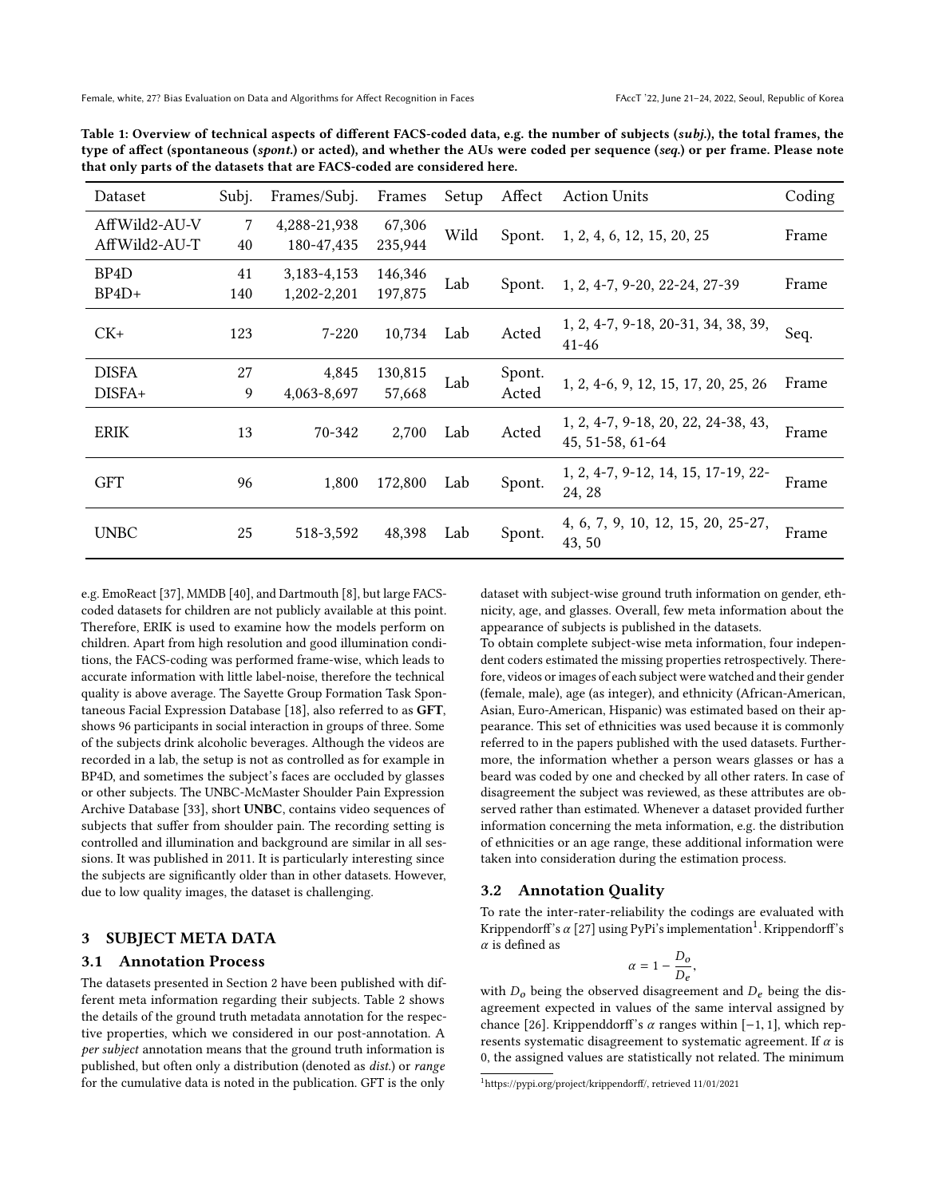| Dataset                        | Subj.     | Frames/Subj.                   | Frames             | Setup | Affect | <b>Action Units</b>                                     | Coding |
|--------------------------------|-----------|--------------------------------|--------------------|-------|--------|---------------------------------------------------------|--------|
| AffWild2-AU-V<br>AffWild2-AU-T | 7<br>40   | 4,288-21,938<br>180-47,435     | 67,306<br>235,944  | Wild  | Spont. | 1, 2, 4, 6, 12, 15, 20, 25                              | Frame  |
| BP <sub>4</sub> D<br>$BP4D+$   | 41<br>140 | 3, 183 - 4, 153<br>1,202-2,201 | 146,346<br>197,875 | Lab   | Spont. | 1, 2, 4-7, 9-20, 22-24, 27-39                           | Frame  |
| $CK+$                          | 123       | $7 - 220$                      | 10,734             | Lab   | Acted  | 1, 2, 4-7, 9-18, 20-31, 34, 38, 39,<br>$41 - 46$        | Seq.   |
| <b>DISFA</b>                   | 27        | 4,845                          | 130,815            | Lab   | Spont. | 1, 2, 4-6, 9, 12, 15, 17, 20, 25, 26                    | Frame  |
| DISFA+                         | 9         | 4,063-8,697                    | 57,668             |       | Acted  |                                                         |        |
| <b>ERIK</b>                    | 13        | 70-342                         | 2,700              | Lab   | Acted  | 1, 2, 4-7, 9-18, 20, 22, 24-38, 43,<br>45, 51-58, 61-64 | Frame  |
| GFT                            | 96        | 1,800                          | 172,800            | Lab   | Spont. | 1, 2, 4-7, 9-12, 14, 15, 17-19, 22-<br>24, 28           | Frame  |
| <b>UNBC</b>                    | 25        | 518-3,592                      | 48,398             | Lab   | Spont. | 4, 6, 7, 9, 10, 12, 15, 20, 25-27,<br>43, 50            | Frame  |

<span id="page-2-0"></span>Table 1: Overview of technical aspects of different FACS-coded data, e.g. the number of subjects (subj.), the total frames, the type of affect (spontaneous (spont.) or acted), and whether the AUs were coded per sequence (seq.) or per frame. Please note that only parts of the datasets that are FACS-coded are considered here.

e.g. EmoReact [\[37\]](#page-11-10), MMDB [\[40\]](#page-11-11), and Dartmouth [\[8\]](#page-10-22), but large FACScoded datasets for children are not publicly available at this point. Therefore, ERIK is used to examine how the models perform on children. Apart from high resolution and good illumination conditions, the FACS-coding was performed frame-wise, which leads to accurate information with little label-noise, therefore the technical quality is above average. The Sayette Group Formation Task Spontaneous Facial Expression Database [\[18\]](#page-10-23), also referred to as GFT, shows 96 participants in social interaction in groups of three. Some of the subjects drink alcoholic beverages. Although the videos are recorded in a lab, the setup is not as controlled as for example in BP4D, and sometimes the subject's faces are occluded by glasses or other subjects. The UNBC-McMaster Shoulder Pain Expression Archive Database [\[33\]](#page-10-24), short UNBC, contains video sequences of subjects that suffer from shoulder pain. The recording setting is controlled and illumination and background are similar in all sessions. It was published in 2011. It is particularly interesting since the subjects are significantly older than in other datasets. However, due to low quality images, the dataset is challenging.

# <span id="page-2-2"></span>3 SUBJECT META DATA

## 3.1 Annotation Process

The datasets presented in Section [2](#page-1-0) have been published with different meta information regarding their subjects. Table [2](#page-3-0) shows the details of the ground truth metadata annotation for the respective properties, which we considered in our post-annotation. A per subject annotation means that the ground truth information is published, but often only a distribution (denoted as dist.) or range for the cumulative data is noted in the publication. GFT is the only

dataset with subject-wise ground truth information on gender, ethnicity, age, and glasses. Overall, few meta information about the appearance of subjects is published in the datasets.

To obtain complete subject-wise meta information, four independent coders estimated the missing properties retrospectively. Therefore, videos or images of each subject were watched and their gender (female, male), age (as integer), and ethnicity (African-American, Asian, Euro-American, Hispanic) was estimated based on their appearance. This set of ethnicities was used because it is commonly referred to in the papers published with the used datasets. Furthermore, the information whether a person wears glasses or has a beard was coded by one and checked by all other raters. In case of disagreement the subject was reviewed, as these attributes are observed rather than estimated. Whenever a dataset provided further information concerning the meta information, e.g. the distribution of ethnicities or an age range, these additional information were taken into consideration during the estimation process.

#### 3.2 Annotation Quality

To rate the inter-rater-reliability the codings are evaluated with Krippendorff's  $\alpha$  [\[27\]](#page-10-25) using PyPi's implementation $^1$  $^1$ . Krippendorff's  $\alpha$  is defined as

$$
\alpha=1-\frac{D_o}{D_e},
$$

with  $D<sub>o</sub>$  being the observed disagreement and  $D<sub>e</sub>$  being the disagreement expected in values of the same interval assigned by chance [\[26\]](#page-10-26). Krippenddorff's  $\alpha$  ranges within [−1, 1], which represents systematic disagreement to systematic agreement. If  $\alpha$  is 0, the assigned values are statistically not related. The minimum

<span id="page-2-1"></span> $^1$ https://pypi.org/project/krippendorff/, retrieved 11/01/2021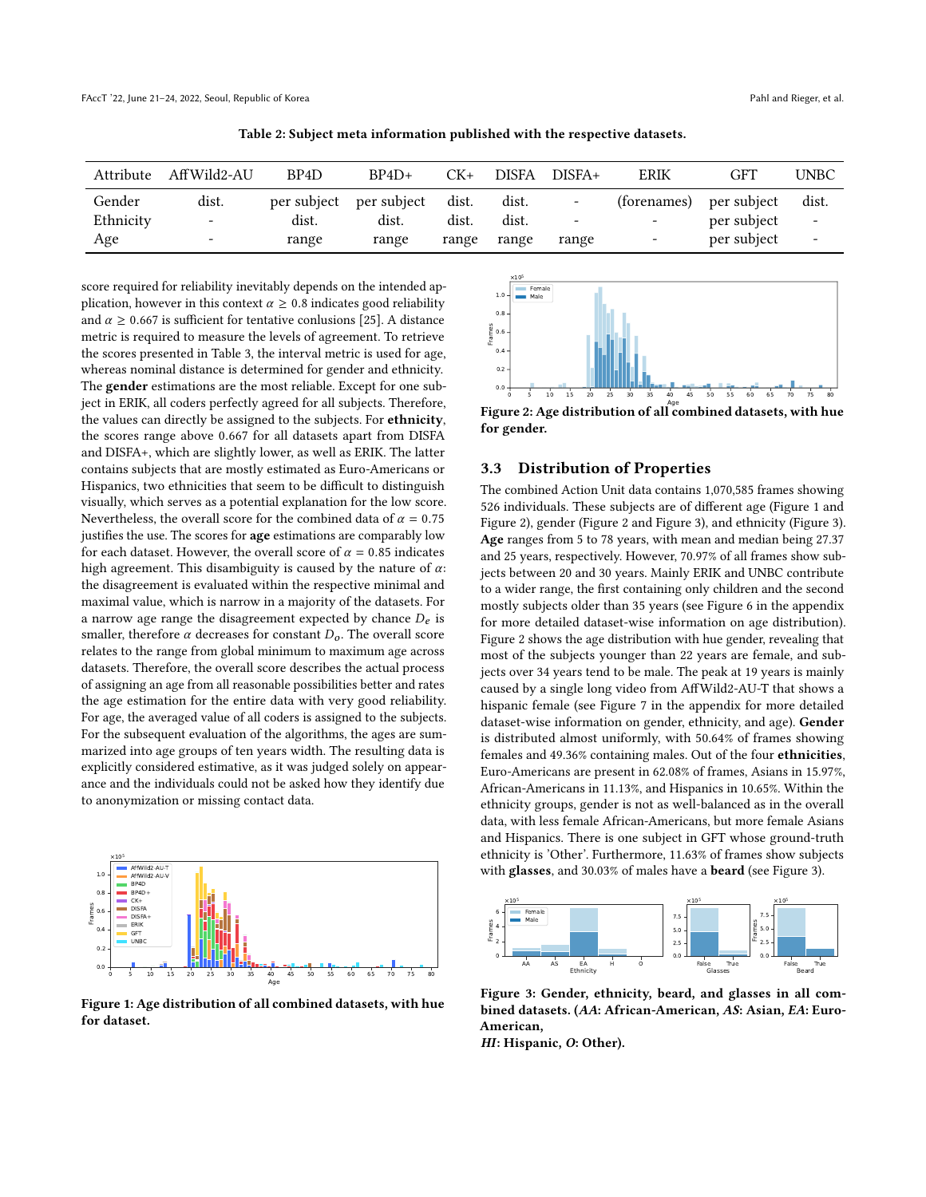<span id="page-3-0"></span>

| Attribute | AffWild2-AU              | BP <sub>4</sub> D | $BP4D+$                 | CK+   | <b>DISFA</b> | $DISFA+$                 | ERIK                     | GFT         | UNBC                     |
|-----------|--------------------------|-------------------|-------------------------|-------|--------------|--------------------------|--------------------------|-------------|--------------------------|
| Gender    | dist.                    |                   | per subject per subject | dist. | dist.        | $\overline{\phantom{a}}$ | (forenames)              | per subject | dist.                    |
| Ethnicity | $\overline{\phantom{a}}$ | dist.             | dist.                   | dist. | dist.        | $\overline{\phantom{a}}$ | $\overline{\phantom{0}}$ | per subject | $\overline{\phantom{a}}$ |
| Age       | $\overline{\phantom{a}}$ | range             | range                   | range | range        | range                    | $\overline{\phantom{a}}$ | per subject | -                        |

Table 2: Subject meta information published with the respective datasets.

score required for reliability inevitably depends on the intended application, however in this context  $\alpha \geq 0.8$  indicates good reliability and  $\alpha \geq 0.667$  is sufficient for tentative conlusions [\[25\]](#page-10-27). A distance metric is required to measure the levels of agreement. To retrieve the scores presented in Table [3,](#page-4-0) the interval metric is used for age, whereas nominal distance is determined for gender and ethnicity. The **gender** estimations are the most reliable. Except for one subject in ERIK, all coders perfectly agreed for all subjects. Therefore, the values can directly be assigned to the subjects. For ethnicity, the scores range above <sup>0</sup>.<sup>667</sup> for all datasets apart from DISFA and DISFA+, which are slightly lower, as well as ERIK. The latter contains subjects that are mostly estimated as Euro-Americans or Hispanics, two ethnicities that seem to be difficult to distinguish visually, which serves as a potential explanation for the low score. Nevertheless, the overall score for the combined data of  $\alpha = 0.75$ justifies the use. The scores for **age** estimations are comparably low for each dataset. However, the overall score of  $\alpha = 0.85$  indicates high agreement. This disambiguity is caused by the nature of  $\alpha$ : the disagreement is evaluated within the respective minimal and maximal value, which is narrow in a majority of the datasets. For a narrow age range the disagreement expected by chance  $D_e$  is smaller, therefore  $\alpha$  decreases for constant  $D_0$ . The overall score relates to the range from global minimum to maximum age across datasets. Therefore, the overall score describes the actual process of assigning an age from all reasonable possibilities better and rates the age estimation for the entire data with very good reliability. For age, the averaged value of all coders is assigned to the subjects. For the subsequent evaluation of the algorithms, the ages are summarized into age groups of ten years width. The resulting data is explicitly considered estimative, as it was judged solely on appearance and the individuals could not be asked how they identify due to anonymization or missing contact data.

<span id="page-3-1"></span>

Figure 1: Age distribution of all combined datasets, with hue for dataset.

<span id="page-3-2"></span>

for gender.

#### 3.3 Distribution of Properties

The combined Action Unit data contains 1,070,585 frames showing 526 individuals. These subjects are of different age (Figure [1](#page-3-1) and Figure [2\)](#page-3-2), gender (Figure [2](#page-3-2) and Figure [3\)](#page-3-3), and ethnicity (Figure [3\)](#page-3-3). Age ranges from 5 to 78 years, with mean and median being 27.37 and 25 years, respectively. However, 70.97% of all frames show subjects between 20 and 30 years. Mainly ERIK and UNBC contribute to a wider range, the first containing only children and the second mostly subjects older than 35 years (see Figure [6](#page-12-0) in the appendix for more detailed dataset-wise information on age distribution). Figure [2](#page-3-2) shows the age distribution with hue gender, revealing that most of the subjects younger than 22 years are female, and subjects over 34 years tend to be male. The peak at 19 years is mainly caused by a single long video from AffWild2-AU-T that shows a hispanic female (see Figure [7](#page-13-0) in the appendix for more detailed dataset-wise information on gender, ethnicity, and age). Gender is distributed almost uniformly, with 50.64% of frames showing females and 49.36% containing males. Out of the four ethnicities, Euro-Americans are present in 62.08% of frames, Asians in 15.97%, African-Americans in 11.13%, and Hispanics in 10.65%. Within the ethnicity groups, gender is not as well-balanced as in the overall data, with less female African-Americans, but more female Asians and Hispanics. There is one subject in GFT whose ground-truth ethnicity is 'Other'. Furthermore, 11.63% of frames show subjects with glasses, and 30.03% of males have a beard (see Figure [3\)](#page-3-3).

<span id="page-3-3"></span>

Figure 3: Gender, ethnicity, beard, and glasses in all combined datasets. (AA: African-American, AS: Asian, EA: Euro-American,

HI: Hispanic, O: Other).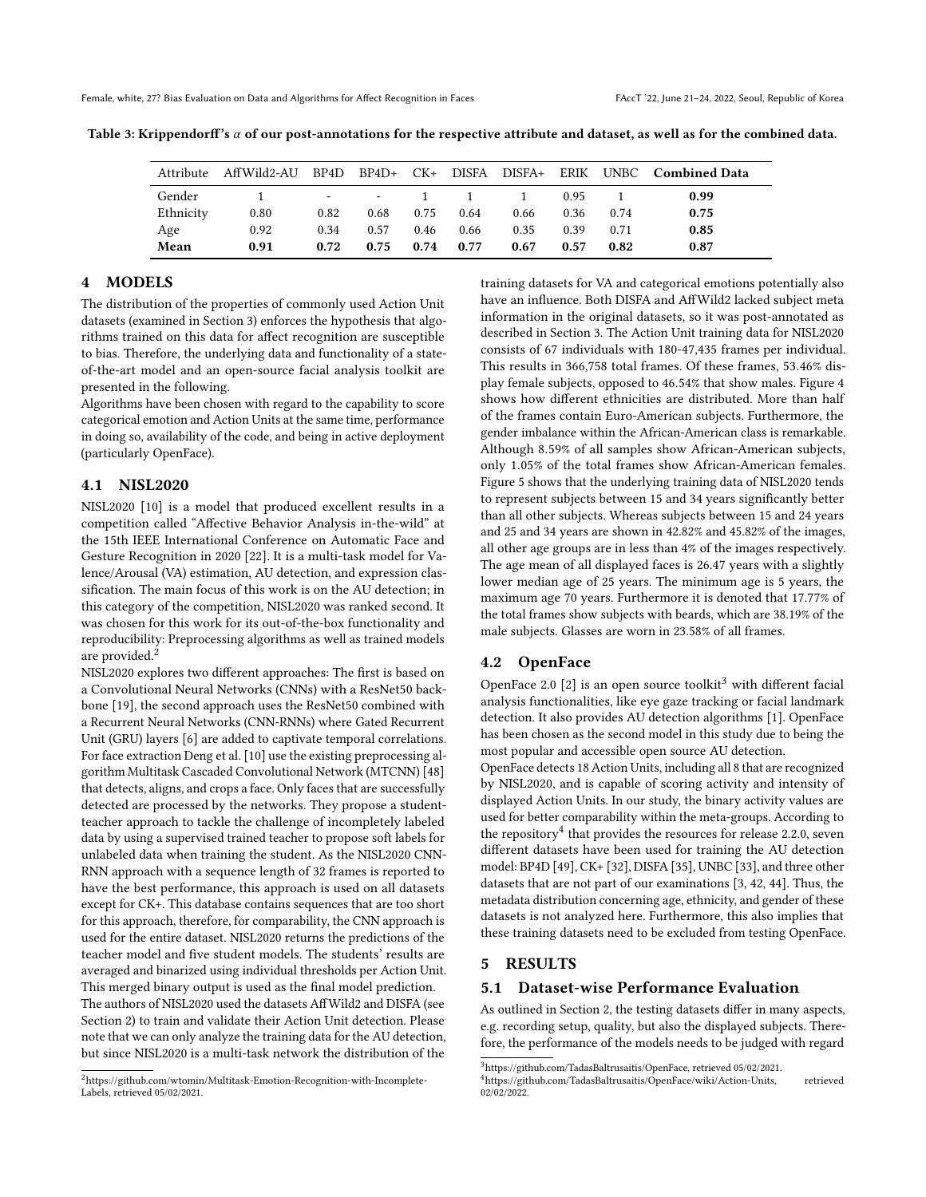<span id="page-4-0"></span>

| Table 3: Krippendorff's $\alpha$ of our post-annotations for the respective attribute and dataset, as well as for the combined data. |  |  |
|--------------------------------------------------------------------------------------------------------------------------------------|--|--|
|                                                                                                                                      |  |  |

| Attribute |      |       |            |      |      |      |      |              | AffWild2-AU BP4D BP4D+ CK+ DISFA DISFA+ ERIK UNBC Combined Data |
|-----------|------|-------|------------|------|------|------|------|--------------|-----------------------------------------------------------------|
| Gender    |      |       | $ -$ 1 1 1 |      |      |      | 0.95 | $\mathbf{1}$ | 0.99                                                            |
| Ethnicity | 0.80 | 0.82  | 0.68       | 0.75 | 0.64 | 0.66 | 0.36 | 0.74         | 0.75                                                            |
| Age       | 0.92 | 0.34  | 0.57       | 0.46 | 0.66 | 0.35 | 0.39 | 0.71         | 0.85                                                            |
| Mean      | 0.91 | 0.72. | 0.75       | 0.74 | 0.77 | 0.67 | 0.57 | 0.82         | 0.87                                                            |

## 4 MODELS

The distribution of the properties of commonly used Action Unit datasets (examined in Section [3\)](#page-2-2) enforces the hypothesis that algorithms trained on this data for affect recognition are susceptible to bias. Therefore, the underlying data and functionality of a stateof-the-art model and an open-source facial analysis toolkit are presented in the following.

Algorithms have been chosen with regard to the capability to score categorical emotion and Action Units at the same time, performance in doing so, availability of the code, and being in active deployment (particularly OpenFace).

#### 4.1 NISL2020

NISL2020 [\[10\]](#page-10-28) is a model that produced excellent results in a competition called "Affective Behavior Analysis in-the-wild" at the 15th IEEE International Conference on Automatic Face and Gesture Recognition in 2020 [\[22\]](#page-10-29). It is a multi-task model for Valence/Arousal (VA) estimation, AU detection, and expression classification. The main focus of this work is on the AU detection; in this category of the competition, NISL2020 was ranked second. It was chosen for this work for its out-of-the-box functionality and reproducibility: Preprocessing algorithms as well as trained models are provided.[2](#page-4-1)

NISL2020 explores two different approaches: The first is based on a Convolutional Neural Networks (CNNs) with a ResNet50 backbone [\[19\]](#page-10-30), the second approach uses the ResNet50 combined with a Recurrent Neural Networks (CNN-RNNs) where Gated Recurrent Unit (GRU) layers [\[6\]](#page-10-31) are added to captivate temporal correlations. For face extraction Deng et al. [\[10\]](#page-10-28) use the existing preprocessing algorithm Multitask Cascaded Convolutional Network (MTCNN) [\[48\]](#page-11-12) that detects, aligns, and crops a face. Only faces that are successfully detected are processed by the networks. They propose a studentteacher approach to tackle the challenge of incompletely labeled data by using a supervised trained teacher to propose soft labels for unlabeled data when training the student. As the NISL2020 CNN-RNN approach with a sequence length of 32 frames is reported to have the best performance, this approach is used on all datasets except for CK+. This database contains sequences that are too short for this approach, therefore, for comparability, the CNN approach is used for the entire dataset. NISL2020 returns the predictions of the teacher model and five student models. The students' results are averaged and binarized using individual thresholds per Action Unit. This merged binary output is used as the final model prediction.

The authors of NISL2020 used the datasets AffWild2 and DISFA (see Section [2\)](#page-1-0) to train and validate their Action Unit detection. Please note that we can only analyze the training data for the AU detection, but since NISL2020 is a multi-task network the distribution of the

training datasets for VA and categorical emotions potentially also have an influence. Both DISFA and AffWild2 lacked subject meta information in the original datasets, so it was post-annotated as described in Section [3.](#page-2-2) The Action Unit training data for NISL2020 consists of 67 individuals with 180-47,435 frames per individual. This results in 366,758 total frames. Of these frames, <sup>53</sup>.46% display female subjects, opposed to <sup>46</sup>.54% that show males. Figure [4](#page-5-0) shows how different ethnicities are distributed. More than half of the frames contain Euro-American subjects. Furthermore, the gender imbalance within the African-American class is remarkable. Although <sup>8</sup>.59% of all samples show African-American subjects, only <sup>1</sup>.05% of the total frames show African-American females. Figure [5](#page-5-1) shows that the underlying training data of NISL2020 tends to represent subjects between 15 and 34 years significantly better than all other subjects. Whereas subjects between 15 and 24 years and 25 and 34 years are shown in 42.82% and 45.82% of the images, all other age groups are in less than 4% of the images respectively. The age mean of all displayed faces is 26.47 years with a slightly lower median age of 25 years. The minimum age is 5 years, the maximum age 70 years. Furthermore it is denoted that 17.77% of the total frames show subjects with beards, which are 38.19% of the male subjects. Glasses are worn in 23.58% of all frames.

#### 4.2 OpenFace

OpenFace 2.0 [\[2\]](#page-10-32) is an open source toolkit<sup>[3](#page-4-2)</sup> with different facial analysis functionalities, like eye gaze tracking or facial landmark detection. It also provides AU detection algorithms [\[1\]](#page-10-33). OpenFace has been chosen as the second model in this study due to being the most popular and accessible open source AU detection.

OpenFace detects 18 Action Units, including all 8 that are recognized by NISL2020, and is capable of scoring activity and intensity of displayed Action Units. In our study, the binary activity values are used for better comparability within the meta-groups. According to the repository<sup>[4](#page-4-3)</sup> that provides the resources for release 2.2.0, seven different datasets have been used for training the AU detection model: BP4D [\[49\]](#page-11-8), CK+ [\[32\]](#page-10-19), DISFA [\[35\]](#page-10-20), UNBC [\[33\]](#page-10-24), and three other datasets that are not part of our examinations [\[3,](#page-10-34) [42,](#page-11-13) [44\]](#page-11-14). Thus, the metadata distribution concerning age, ethnicity, and gender of these datasets is not analyzed here. Furthermore, this also implies that these training datasets need to be excluded from testing OpenFace.

## <span id="page-4-4"></span>5 RESULTS

### 5.1 Dataset-wise Performance Evaluation

As outlined in Section [2,](#page-1-0) the testing datasets differ in many aspects, e.g. recording setup, quality, but also the displayed subjects. Therefore, the performance of the models needs to be judged with regard

<span id="page-4-1"></span> $^2$ https://github.com/wtomin/Multitask-Emotion-Recognition-with-Incomplete-Labels, retrieved 05/02/2021.

<span id="page-4-2"></span><sup>&</sup>lt;sup>3</sup>https://github.com/TadasBaltrusaitis/OpenFace, retrieved 05/02/2021.

<span id="page-4-3"></span><sup>4</sup>https://github.com/TadasBaltrusaitis/OpenFace/wiki/Action-Units, retrieved 02/02/2022.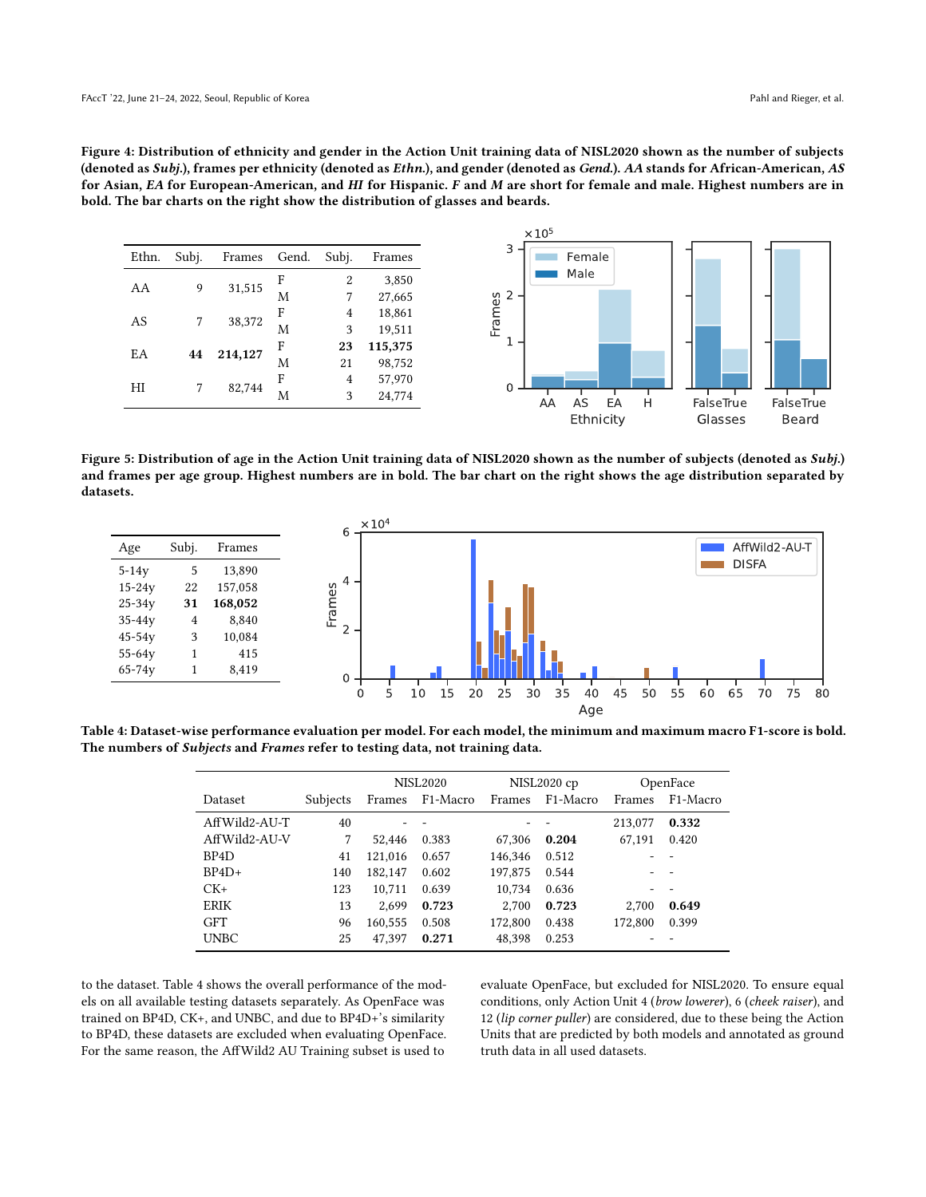<span id="page-5-0"></span>Figure 4: Distribution of ethnicity and gender in the Action Unit training data of NISL2020 shown as the number of subjects (denoted as Subj.), frames per ethnicity (denoted as Ethn.), and gender (denoted as Gend.). AA stands for African-American, AS for Asian, EA for European-American, and HI for Hispanic. F and M are short for female and male. Highest numbers are in bold. The bar charts on the right show the distribution of glasses and beards.



<span id="page-5-1"></span>Figure 5: Distribution of age in the Action Unit training data of NISL2020 shown as the number of subjects (denoted as Subj.) and frames per age group. Highest numbers are in bold. The bar chart on the right shows the age distribution separated by datasets.



<span id="page-5-2"></span>Table 4: Dataset-wise performance evaluation per model. For each model, the minimum and maximum macro F1-score is bold. The numbers of Subjects and Frames refer to testing data, not training data.

|                   |          | <b>NISL2020</b> |                       |         | NISL2020 cp           |         | OpenFace              |
|-------------------|----------|-----------------|-----------------------|---------|-----------------------|---------|-----------------------|
| Dataset           | Subjects | Frames          | F <sub>1</sub> -Macro | Frames  | F <sub>1</sub> -Macro | Frames  | F <sub>1</sub> -Macro |
| AffWild2-AU-T     | 40       |                 |                       |         |                       | 213,077 | 0.332                 |
| AffWild2-AU-V     | 7        | 52.446          | 0.383                 | 67.306  | 0.204                 | 67,191  | 0.420                 |
| BP <sub>4</sub> D | 41       | 121.016         | 0.657                 | 146.346 | 0.512                 |         |                       |
| $BP4D+$           | 140      | 182,147         | 0.602                 | 197,875 | 0.544                 |         |                       |
| $CK+$             | 123      | 10,711          | 0.639                 | 10.734  | 0.636                 |         |                       |
| <b>ERIK</b>       | 13       | 2.699           | 0.723                 | 2.700   | 0.723                 | 2.700   | 0.649                 |
| <b>GFT</b>        | 96       | 160.555         | 0.508                 | 172,800 | 0.438                 | 172,800 | 0.399                 |
| <b>UNBC</b>       | 25       | 47.397          | 0.271                 | 48,398  | 0.253                 |         |                       |

to the dataset. Table [4](#page-5-2) shows the overall performance of the models on all available testing datasets separately. As OpenFace was trained on BP4D, CK+, and UNBC, and due to BP4D+'s similarity to BP4D, these datasets are excluded when evaluating OpenFace. For the same reason, the AffWild2 AU Training subset is used to

evaluate OpenFace, but excluded for NISL2020. To ensure equal conditions, only Action Unit 4 (brow lowerer), 6 (cheek raiser), and 12 (lip corner puller) are considered, due to these being the Action Units that are predicted by both models and annotated as ground truth data in all used datasets.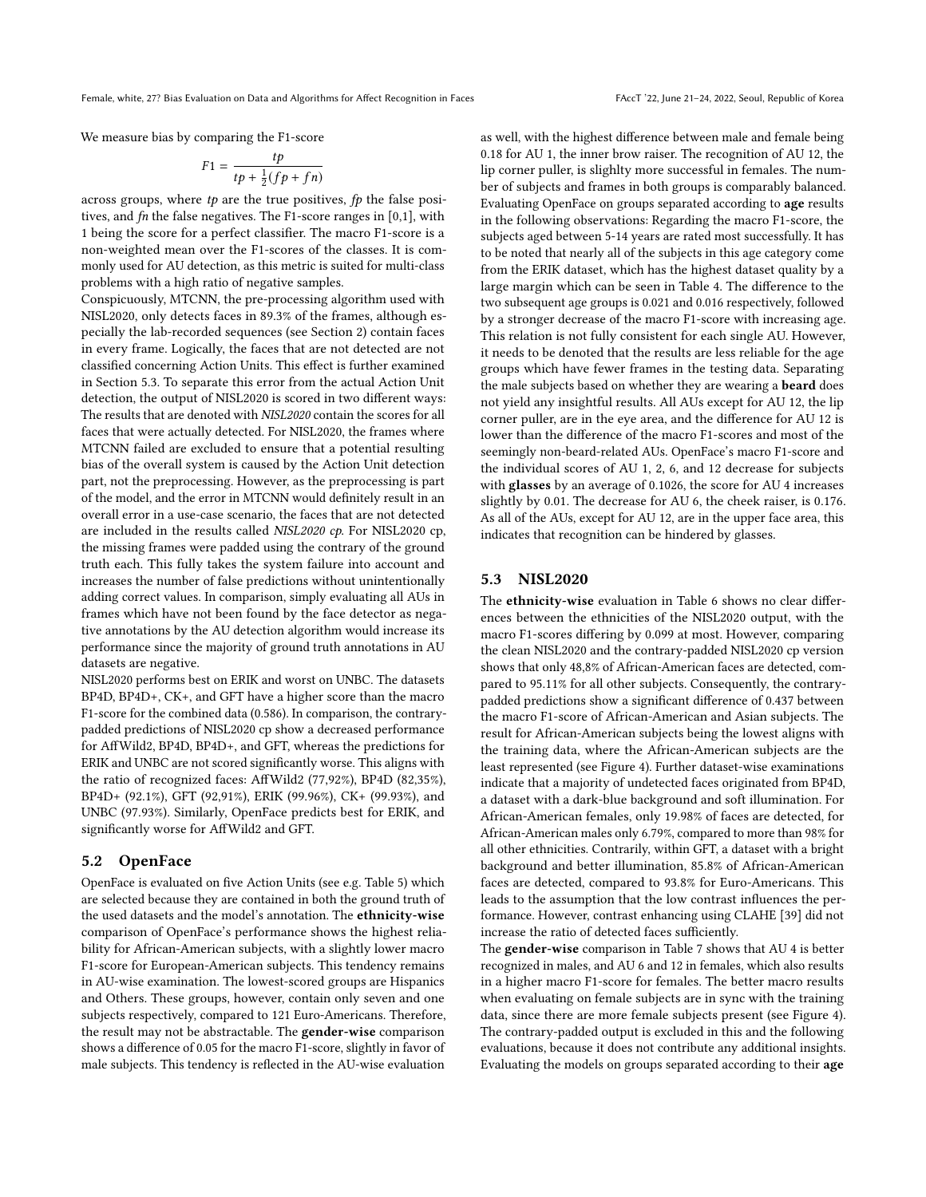We measure bias by comparing the F1-score

$$
F1 = \frac{tp}{tp + \frac{1}{2}(fp + fn)}
$$

across groups, where  $tp$  are the true positives,  $fp$  the false positives, and  $fn$  the false negatives. The F1-score ranges in  $[0,1]$ , with 1 being the score for a perfect classifier. The macro F1-score is a non-weighted mean over the F1-scores of the classes. It is commonly used for AU detection, as this metric is suited for multi-class problems with a high ratio of negative samples.

Conspicuously, MTCNN, the pre-processing algorithm used with NISL2020, only detects faces in 89.3% of the frames, although especially the lab-recorded sequences (see Section [2\)](#page-1-0) contain faces in every frame. Logically, the faces that are not detected are not classified concerning Action Units. This effect is further examined in Section [5.3.](#page-6-0) To separate this error from the actual Action Unit detection, the output of NISL2020 is scored in two different ways: The results that are denoted with NISL2020 contain the scores for all faces that were actually detected. For NISL2020, the frames where MTCNN failed are excluded to ensure that a potential resulting bias of the overall system is caused by the Action Unit detection part, not the preprocessing. However, as the preprocessing is part of the model, and the error in MTCNN would definitely result in an overall error in a use-case scenario, the faces that are not detected are included in the results called NISL2020 cp. For NISL2020 cp, the missing frames were padded using the contrary of the ground truth each. This fully takes the system failure into account and increases the number of false predictions without unintentionally adding correct values. In comparison, simply evaluating all AUs in frames which have not been found by the face detector as negative annotations by the AU detection algorithm would increase its performance since the majority of ground truth annotations in AU datasets are negative.

NISL2020 performs best on ERIK and worst on UNBC. The datasets BP4D, BP4D+, CK+, and GFT have a higher score than the macro F1-score for the combined data (0.586). In comparison, the contrarypadded predictions of NISL2020 cp show a decreased performance for AffWild2, BP4D, BP4D+, and GFT, whereas the predictions for ERIK and UNBC are not scored significantly worse. This aligns with the ratio of recognized faces: AffWild2 (77,92%), BP4D (82,35%), BP4D+ (92.1%), GFT (92,91%), ERIK (99.96%), CK+ (99.93%), and UNBC (97.93%). Similarly, OpenFace predicts best for ERIK, and significantly worse for AffWild2 and GFT.

#### 5.2 OpenFace

OpenFace is evaluated on five Action Units (see e.g. Table [5\)](#page-7-0) which are selected because they are contained in both the ground truth of the used datasets and the model's annotation. The ethnicity-wise comparison of OpenFace's performance shows the highest reliability for African-American subjects, with a slightly lower macro F1-score for European-American subjects. This tendency remains in AU-wise examination. The lowest-scored groups are Hispanics and Others. These groups, however, contain only seven and one subjects respectively, compared to 121 Euro-Americans. Therefore, the result may not be abstractable. The gender-wise comparison shows a difference of 0.05 for the macro F1-score, slightly in favor of male subjects. This tendency is reflected in the AU-wise evaluation

as well, with the highest difference between male and female being 0.18 for AU 1, the inner brow raiser. The recognition of AU 12, the lip corner puller, is slighlty more successful in females. The number of subjects and frames in both groups is comparably balanced. Evaluating OpenFace on groups separated according to age results in the following observations: Regarding the macro F1-score, the subjects aged between 5-14 years are rated most successfully. It has to be noted that nearly all of the subjects in this age category come from the ERIK dataset, which has the highest dataset quality by a large margin which can be seen in Table [4.](#page-5-2) The difference to the two subsequent age groups is 0.021 and 0.016 respectively, followed by a stronger decrease of the macro F1-score with increasing age. This relation is not fully consistent for each single AU. However, it needs to be denoted that the results are less reliable for the age groups which have fewer frames in the testing data. Separating the male subjects based on whether they are wearing a beard does not yield any insightful results. All AUs except for AU 12, the lip corner puller, are in the eye area, and the difference for AU 12 is lower than the difference of the macro F1-scores and most of the seemingly non-beard-related AUs. OpenFace's macro F1-score and the individual scores of AU 1, 2, 6, and 12 decrease for subjects with glasses by an average of 0.1026, the score for AU 4 increases slightly by 0.01. The decrease for AU 6, the cheek raiser, is 0.176. As all of the AUs, except for AU 12, are in the upper face area, this indicates that recognition can be hindered by glasses.

### <span id="page-6-0"></span>5.3 NISL2020

The ethnicity-wise evaluation in Table [6](#page-7-1) shows no clear differences between the ethnicities of the NISL2020 output, with the macro F1-scores differing by 0.099 at most. However, comparing the clean NISL2020 and the contrary-padded NISL2020 cp version shows that only 48,8% of African-American faces are detected, compared to 95.11% for all other subjects. Consequently, the contrarypadded predictions show a significant difference of 0.437 between the macro F1-score of African-American and Asian subjects. The result for African-American subjects being the lowest aligns with the training data, where the African-American subjects are the least represented (see Figure [4\)](#page-5-0). Further dataset-wise examinations indicate that a majority of undetected faces originated from BP4D, a dataset with a dark-blue background and soft illumination. For African-American females, only 19.98% of faces are detected, for African-American males only 6.79%, compared to more than 98% for all other ethnicities. Contrarily, within GFT, a dataset with a bright background and better illumination, 85.8% of African-American faces are detected, compared to 93.8% for Euro-Americans. This leads to the assumption that the low contrast influences the performance. However, contrast enhancing using CLAHE [\[39\]](#page-11-15) did not increase the ratio of detected faces sufficiently.

The gender-wise comparison in Table [7](#page-8-0) shows that AU 4 is better recognized in males, and AU 6 and 12 in females, which also results in a higher macro F1-score for females. The better macro results when evaluating on female subjects are in sync with the training data, since there are more female subjects present (see Figure [4\)](#page-5-0). The contrary-padded output is excluded in this and the following evaluations, because it does not contribute any additional insights. Evaluating the models on groups separated according to their age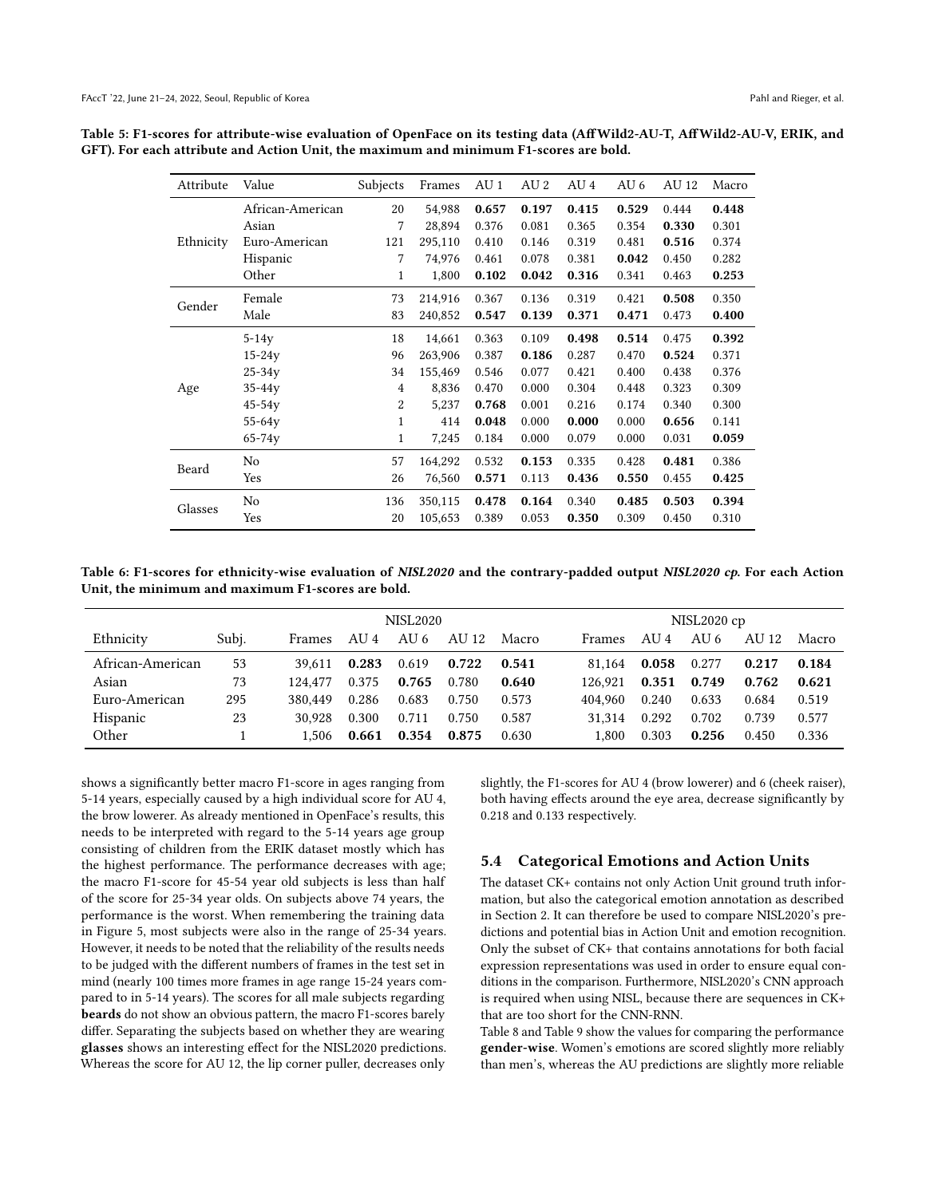| Attribute | Value            | Subjects | Frames  | AU 1  | AU 2  | AU 4  | AU 6  | AU 12 | Macro |
|-----------|------------------|----------|---------|-------|-------|-------|-------|-------|-------|
|           | African-American | 20       | 54,988  | 0.657 | 0.197 | 0.415 | 0.529 | 0.444 | 0.448 |
|           | Asian            | 7        | 28,894  | 0.376 | 0.081 | 0.365 | 0.354 | 0.330 | 0.301 |
| Ethnicity | Euro-American    | 121      | 295,110 | 0.410 | 0.146 | 0.319 | 0.481 | 0.516 | 0.374 |
|           | Hispanic         | 7        | 74,976  | 0.461 | 0.078 | 0.381 | 0.042 | 0.450 | 0.282 |
|           | Other            | 1        | 1,800   | 0.102 | 0.042 | 0.316 | 0.341 | 0.463 | 0.253 |
| Gender    | Female           | 73       | 214,916 | 0.367 | 0.136 | 0.319 | 0.421 | 0.508 | 0.350 |
|           | Male             | 83       | 240,852 | 0.547 | 0.139 | 0.371 | 0.471 | 0.473 | 0.400 |
|           | $5-14y$          | 18       | 14,661  | 0.363 | 0.109 | 0.498 | 0.514 | 0.475 | 0.392 |
|           | $15 - 24y$       | 96       | 263,906 | 0.387 | 0.186 | 0.287 | 0.470 | 0.524 | 0.371 |
|           | $25 - 34y$       | 34       | 155,469 | 0.546 | 0.077 | 0.421 | 0.400 | 0.438 | 0.376 |
| Age       | $35 - 44y$       | 4        | 8,836   | 0.470 | 0.000 | 0.304 | 0.448 | 0.323 | 0.309 |
|           | $45-54y$         | 2        | 5,237   | 0.768 | 0.001 | 0.216 | 0.174 | 0.340 | 0.300 |
|           | $55 - 64y$       | 1        | 414     | 0.048 | 0.000 | 0.000 | 0.000 | 0.656 | 0.141 |
|           | $65 - 74y$       | 1        | 7,245   | 0.184 | 0.000 | 0.079 | 0.000 | 0.031 | 0.059 |
| Beard     | No               | 57       | 164,292 | 0.532 | 0.153 | 0.335 | 0.428 | 0.481 | 0.386 |
|           | Yes              | 26       | 76,560  | 0.571 | 0.113 | 0.436 | 0.550 | 0.455 | 0.425 |
| Glasses   | No               | 136      | 350,115 | 0.478 | 0.164 | 0.340 | 0.485 | 0.503 | 0.394 |
|           | Yes              | 20       | 105,653 | 0.389 | 0.053 | 0.350 | 0.309 | 0.450 | 0.310 |

<span id="page-7-0"></span>Table 5: F1-scores for attribute-wise evaluation of OpenFace on its testing data (AffWild2-AU-T, AffWild2-AU-V, ERIK, and GFT). For each attribute and Action Unit, the maximum and minimum F1-scores are bold.

<span id="page-7-1"></span>Table 6: F1-scores for ethnicity-wise evaluation of NISL2020 and the contrary-padded output NISL2020 cp. For each Action Unit, the minimum and maximum F1-scores are bold.

|                  |       |         |       | NISL2020 cp |       |       |               |       |       |       |       |
|------------------|-------|---------|-------|-------------|-------|-------|---------------|-------|-------|-------|-------|
| Ethnicity        | Subj. | Frames  | AU 4  | AU 6        | AU 12 | Macro | <b>Frames</b> | AU 4  | AU 6  | AU 12 | Macro |
| African-American | 53    | 39.611  | 0.283 | 0.619       | 0.722 | 0.541 | 81.164        | 0.058 | 0.277 | 0.217 | 0.184 |
| Asian            | 73    | 124.477 | 0.375 | 0.765       | 0.780 | 0.640 | 126.921       | 0.351 | 0.749 | 0.762 | 0.621 |
| Euro-American    | 295   | 380.449 | 0.286 | 0.683       | 0.750 | 0.573 | 404.960       | 0.240 | 0.633 | 0.684 | 0.519 |
| Hispanic         | 23    | 30.928  | 0.300 | 0.711       | 0.750 | 0.587 | 31.314        | 0.292 | 0.702 | 0.739 | 0.577 |
| Other            |       | 1.506   | 0.661 | 0.354       | 0.875 | 0.630 | 1.800         | 0.303 | 0.256 | 0.450 | 0.336 |

shows a significantly better macro F1-score in ages ranging from 5-14 years, especially caused by a high individual score for AU 4, the brow lowerer. As already mentioned in OpenFace's results, this needs to be interpreted with regard to the 5-14 years age group consisting of children from the ERIK dataset mostly which has the highest performance. The performance decreases with age; the macro F1-score for 45-54 year old subjects is less than half of the score for 25-34 year olds. On subjects above 74 years, the performance is the worst. When remembering the training data in Figure [5,](#page-5-1) most subjects were also in the range of 25-34 years. However, it needs to be noted that the reliability of the results needs to be judged with the different numbers of frames in the test set in mind (nearly 100 times more frames in age range 15-24 years compared to in 5-14 years). The scores for all male subjects regarding beards do not show an obvious pattern, the macro F1-scores barely differ. Separating the subjects based on whether they are wearing glasses shows an interesting effect for the NISL2020 predictions. Whereas the score for AU 12, the lip corner puller, decreases only

slightly, the F1-scores for AU 4 (brow lowerer) and 6 (cheek raiser), both having effects around the eye area, decrease significantly by 0.218 and 0.133 respectively.

## 5.4 Categorical Emotions and Action Units

The dataset CK+ contains not only Action Unit ground truth information, but also the categorical emotion annotation as described in Section [2.](#page-1-0) It can therefore be used to compare NISL2020's predictions and potential bias in Action Unit and emotion recognition. Only the subset of CK+ that contains annotations for both facial expression representations was used in order to ensure equal conditions in the comparison. Furthermore, NISL2020's CNN approach is required when using NISL, because there are sequences in CK+ that are too short for the CNN-RNN.

Table [8](#page-9-0) and Table [9](#page-9-1) show the values for comparing the performance gender-wise. Women's emotions are scored slightly more reliably than men's, whereas the AU predictions are slightly more reliable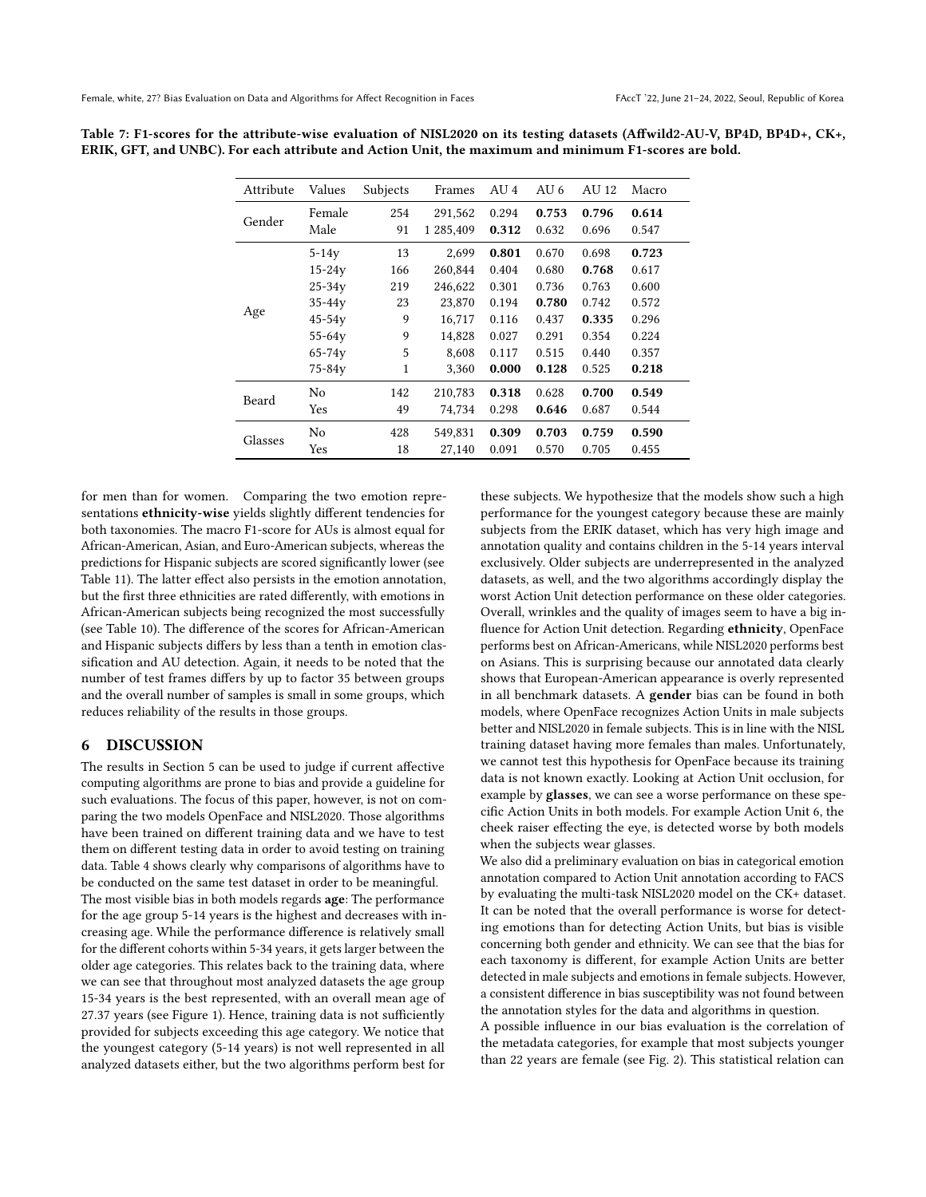| Attribute | Values         | Subjects | Frames    | AU <sub>4</sub> | AU 6  | AU 12 | Macro |
|-----------|----------------|----------|-----------|-----------------|-------|-------|-------|
| Gender    | Female         | 254      | 291,562   | 0.294           | 0.753 | 0.796 | 0.614 |
|           | Male           | 91       | 1 285,409 | 0.312           | 0.632 | 0.696 | 0.547 |
|           | $5-14y$        | 13       | 2.699     | 0.801           | 0.670 | 0.698 | 0.723 |
|           | $15 - 24y$     | 166      | 260,844   | 0.404           | 0.680 | 0.768 | 0.617 |
|           | $25 - 34y$     | 219      | 246,622   | 0.301           | 0.736 | 0.763 | 0.600 |
|           | $35-44y$       | 23       | 23,870    | 0.194           | 0.780 | 0.742 | 0.572 |
| Age       | $45-54y$       | 9        | 16,717    | 0.116           | 0.437 | 0.335 | 0.296 |
|           | $55 - 64y$     | 9        | 14,828    | 0.027           | 0.291 | 0.354 | 0.224 |
|           | $65 - 74y$     | 5        | 8.608     | 0.117           | 0.515 | 0.440 | 0.357 |
|           | $75 - 84y$     | 1        | 3,360     | 0.000           | 0.128 | 0.525 | 0.218 |
| Beard     | N <sub>0</sub> | 142      | 210,783   | 0.318           | 0.628 | 0.700 | 0.549 |
|           | Yes            | 49       | 74,734    | 0.298           | 0.646 | 0.687 | 0.544 |
| Glasses   | No             | 428      | 549,831   | 0.309           | 0.703 | 0.759 | 0.590 |
|           | Yes            | 18       | 27,140    | 0.091           | 0.570 | 0.705 | 0.455 |

<span id="page-8-0"></span>Table 7: F1-scores for the attribute-wise evaluation of NISL2020 on its testing datasets (Affwild2-AU-V, BP4D, BP4D+, CK+, ERIK, GFT, and UNBC). For each attribute and Action Unit, the maximum and minimum F1-scores are bold.

for men than for women. Comparing the two emotion representations ethnicity-wise yields slightly different tendencies for both taxonomies. The macro F1-score for AUs is almost equal for African-American, Asian, and Euro-American subjects, whereas the predictions for Hispanic subjects are scored significantly lower (see Table [11\)](#page-9-2). The latter effect also persists in the emotion annotation, but the first three ethnicities are rated differently, with emotions in African-American subjects being recognized the most successfully (see Table [10\)](#page-9-3). The difference of the scores for African-American and Hispanic subjects differs by less than a tenth in emotion classification and AU detection. Again, it needs to be noted that the number of test frames differs by up to factor 35 between groups and the overall number of samples is small in some groups, which reduces reliability of the results in those groups.

#### 6 DISCUSSION

The results in Section [5](#page-4-4) can be used to judge if current affective computing algorithms are prone to bias and provide a guideline for such evaluations. The focus of this paper, however, is not on comparing the two models OpenFace and NISL2020. Those algorithms have been trained on different training data and we have to test them on different testing data in order to avoid testing on training data. Table [4](#page-5-2) shows clearly why comparisons of algorithms have to be conducted on the same test dataset in order to be meaningful. The most visible bias in both models regards age: The performance for the age group 5-14 years is the highest and decreases with increasing age. While the performance difference is relatively small for the different cohorts within 5-34 years, it gets larger between the older age categories. This relates back to the training data, where we can see that throughout most analyzed datasets the age group 15-34 years is the best represented, with an overall mean age of 27.37 years (see Figure [1\)](#page-3-1). Hence, training data is not sufficiently provided for subjects exceeding this age category. We notice that the youngest category (5-14 years) is not well represented in all analyzed datasets either, but the two algorithms perform best for

these subjects. We hypothesize that the models show such a high performance for the youngest category because these are mainly subjects from the ERIK dataset, which has very high image and annotation quality and contains children in the 5-14 years interval exclusively. Older subjects are underrepresented in the analyzed datasets, as well, and the two algorithms accordingly display the worst Action Unit detection performance on these older categories. Overall, wrinkles and the quality of images seem to have a big influence for Action Unit detection. Regarding ethnicity, OpenFace performs best on African-Americans, while NISL2020 performs best on Asians. This is surprising because our annotated data clearly shows that European-American appearance is overly represented in all benchmark datasets. A gender bias can be found in both models, where OpenFace recognizes Action Units in male subjects better and NISL2020 in female subjects. This is in line with the NISL training dataset having more females than males. Unfortunately, we cannot test this hypothesis for OpenFace because its training data is not known exactly. Looking at Action Unit occlusion, for example by glasses, we can see a worse performance on these specific Action Units in both models. For example Action Unit 6, the cheek raiser effecting the eye, is detected worse by both models when the subjects wear glasses.

We also did a preliminary evaluation on bias in categorical emotion annotation compared to Action Unit annotation according to FACS by evaluating the multi-task NISL2020 model on the CK+ dataset. It can be noted that the overall performance is worse for detecting emotions than for detecting Action Units, but bias is visible concerning both gender and ethnicity. We can see that the bias for each taxonomy is different, for example Action Units are better detected in male subjects and emotions in female subjects. However, a consistent difference in bias susceptibility was not found between the annotation styles for the data and algorithms in question.

A possible influence in our bias evaluation is the correlation of the metadata categories, for example that most subjects younger than 22 years are female (see Fig. [2\)](#page-3-2). This statistical relation can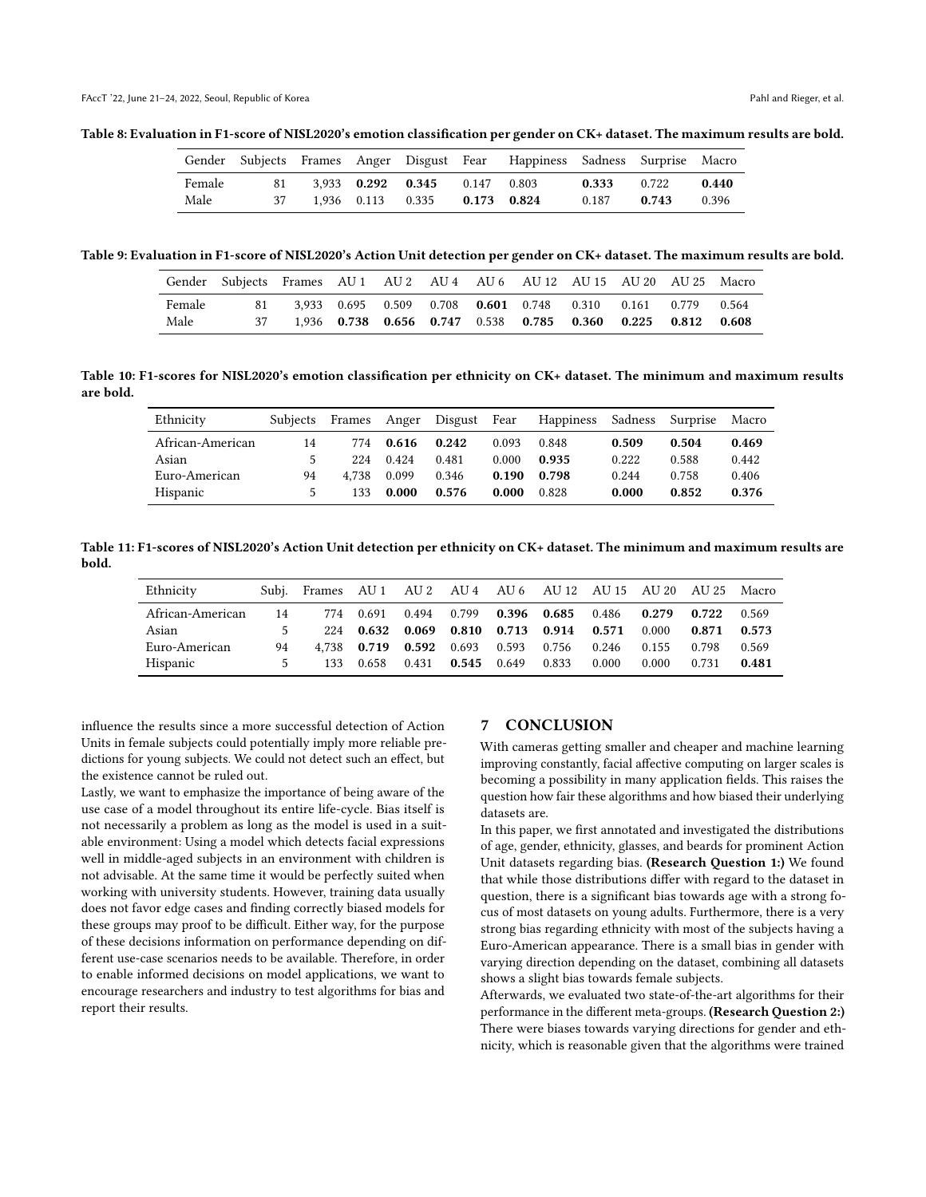<span id="page-9-0"></span>Table 8: Evaluation in F1-score of NISL2020's emotion classification per gender on CK+ dataset. The maximum results are bold.

|                |          |  |                                                                | Gender Subjects Frames Anger Disgust Fear Happiness Sadness Surprise Macro |                |                |                |
|----------------|----------|--|----------------------------------------------------------------|----------------------------------------------------------------------------|----------------|----------------|----------------|
| Female<br>Male | 81<br>37 |  | 3.933 0.292 0.345 0.147 0.803<br>1.936 0.113 0.335 0.173 0.824 |                                                                            | 0.333<br>0.187 | 0.722<br>0.743 | 0.440<br>0.396 |

<span id="page-9-1"></span>Table 9: Evaluation in F1-score of NISL2020's Action Unit detection per gender on CK+ dataset. The maximum results are bold.

|        | Gender Subjects Frames AU 1 AU 2 AU 4 AU 6 AU 12 AU 15 AU 20 AU 25 Macro |  |  |                                                             |  |  |
|--------|--------------------------------------------------------------------------|--|--|-------------------------------------------------------------|--|--|
| Female | 81                                                                       |  |  | 3,933 0.695 0.509 0.708 0.601 0.748 0.310 0.161 0.779 0.564 |  |  |
| Male   |                                                                          |  |  | 1,936 0.738 0.656 0.747 0.538 0.785 0.360 0.225 0.812 0.608 |  |  |

<span id="page-9-3"></span>Table 10: F1-scores for NISL2020's emotion classification per ethnicity on CK+ dataset. The minimum and maximum results are bold.

| Ethnicity        | Subjects | Frames |       | Anger Disgust Fear |       | Happiness | Sadness | Surprise | Macro |
|------------------|----------|--------|-------|--------------------|-------|-----------|---------|----------|-------|
| African-American | 14       | 774    | 0.616 | 0.242              | 0.093 | 0.848     | 0.509   | 0.504    | 0.469 |
| Asian            |          | 224    | 0.424 | 0.481              | 0.000 | 0.935     | 0.222   | 0.588    | 0.442 |
| Euro-American    | 94       | 4.738  | 0.099 | 0.346              | 0.190 | 0.798     | 0.244   | 0.758    | 0.406 |
| Hispanic         |          | 133    | 0.000 | 0.576              | 0.000 | 0.828     | 0.000   | 0.852    | 0.376 |

<span id="page-9-2"></span>Table 11: F1-scores of NISL2020's Action Unit detection per ethnicity on CK+ dataset. The minimum and maximum results are bold.

| Ethnicity        |    | Subj. Frames AU 1 AU 2 AU 4 AU 6 AU 12 AU 15 AU 20 AU 25 Macro |       |                                 |  |                                                 |       |       |                         |       |
|------------------|----|----------------------------------------------------------------|-------|---------------------------------|--|-------------------------------------------------|-------|-------|-------------------------|-------|
| African-American | 14 | 774 0.691 0.494 0.799 0.396 0.685 0.486 0.279 0.722            |       |                                 |  |                                                 |       |       |                         | 0.569 |
| Asian            |    |                                                                |       |                                 |  | 224 0.632 0.069 0.810 0.713 0.914 0.571         |       |       | $0.000$ $0.871$ $0.573$ |       |
| Euro-American    | 94 |                                                                |       |                                 |  | 4.738 0.719 0.592 0.693 0.593 0.756 0.246 0.155 |       |       | 0.798                   | 0.569 |
| Hispanic         |    | 133                                                            | 0.658 | $0.431$ $0.545$ $0.649$ $0.833$ |  |                                                 | 0.000 | 0.000 | 0.731                   | 0.481 |

influence the results since a more successful detection of Action Units in female subjects could potentially imply more reliable predictions for young subjects. We could not detect such an effect, but the existence cannot be ruled out.

Lastly, we want to emphasize the importance of being aware of the use case of a model throughout its entire life-cycle. Bias itself is not necessarily a problem as long as the model is used in a suitable environment: Using a model which detects facial expressions well in middle-aged subjects in an environment with children is not advisable. At the same time it would be perfectly suited when working with university students. However, training data usually does not favor edge cases and finding correctly biased models for these groups may proof to be difficult. Either way, for the purpose of these decisions information on performance depending on different use-case scenarios needs to be available. Therefore, in order to enable informed decisions on model applications, we want to encourage researchers and industry to test algorithms for bias and report their results.

## 7 CONCLUSION

With cameras getting smaller and cheaper and machine learning improving constantly, facial affective computing on larger scales is becoming a possibility in many application fields. This raises the question how fair these algorithms and how biased their underlying datasets are.

In this paper, we first annotated and investigated the distributions of age, gender, ethnicity, glasses, and beards for prominent Action Unit datasets regarding bias. (Research Question 1:) We found that while those distributions differ with regard to the dataset in question, there is a significant bias towards age with a strong focus of most datasets on young adults. Furthermore, there is a very strong bias regarding ethnicity with most of the subjects having a Euro-American appearance. There is a small bias in gender with varying direction depending on the dataset, combining all datasets shows a slight bias towards female subjects.

Afterwards, we evaluated two state-of-the-art algorithms for their performance in the different meta-groups. (Research Question 2:) There were biases towards varying directions for gender and ethnicity, which is reasonable given that the algorithms were trained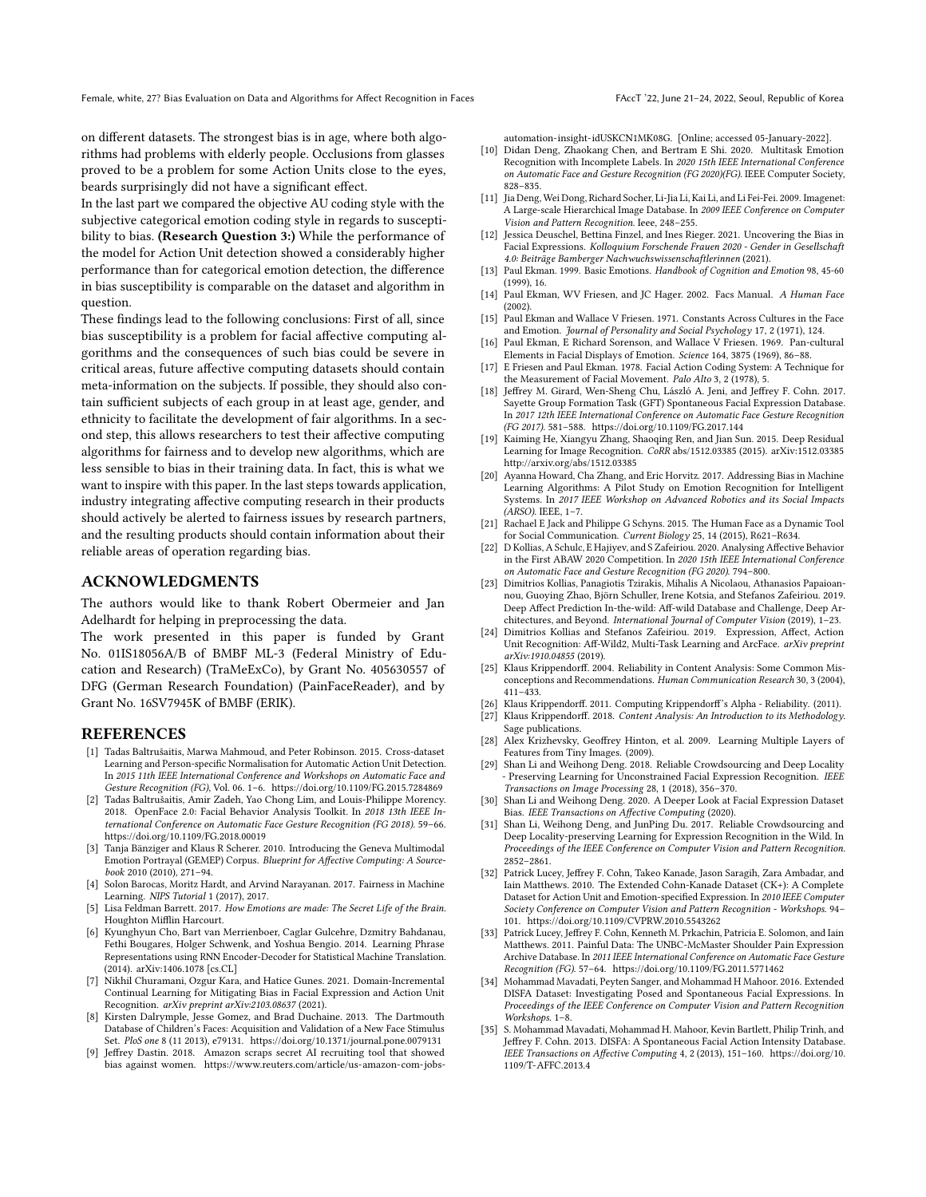on different datasets. The strongest bias is in age, where both algorithms had problems with elderly people. Occlusions from glasses proved to be a problem for some Action Units close to the eyes, beards surprisingly did not have a significant effect.

In the last part we compared the objective AU coding style with the subjective categorical emotion coding style in regards to susceptibility to bias. (Research Question 3:) While the performance of the model for Action Unit detection showed a considerably higher performance than for categorical emotion detection, the difference in bias susceptibility is comparable on the dataset and algorithm in question.

These findings lead to the following conclusions: First of all, since bias susceptibility is a problem for facial affective computing algorithms and the consequences of such bias could be severe in critical areas, future affective computing datasets should contain meta-information on the subjects. If possible, they should also contain sufficient subjects of each group in at least age, gender, and ethnicity to facilitate the development of fair algorithms. In a second step, this allows researchers to test their affective computing algorithms for fairness and to develop new algorithms, which are less sensible to bias in their training data. In fact, this is what we want to inspire with this paper. In the last steps towards application, industry integrating affective computing research in their products should actively be alerted to fairness issues by research partners, and the resulting products should contain information about their reliable areas of operation regarding bias.

#### ACKNOWLEDGMENTS

The authors would like to thank Robert Obermeier and Jan Adelhardt for helping in preprocessing the data.

The work presented in this paper is funded by Grant No. 01IS18056A/B of BMBF ML-3 (Federal Ministry of Education and Research) (TraMeExCo), by Grant No. 405630557 of DFG (German Research Foundation) (PainFaceReader), and by Grant No. 16SV7945K of BMBF (ERIK).

#### REFERENCES

- <span id="page-10-33"></span>[1] Tadas Baltrušaitis, Marwa Mahmoud, and Peter Robinson. 2015. Cross-dataset Learning and Person-specific Normalisation for Automatic Action Unit Detection. In 2015 11th IEEE International Conference and Workshops on Automatic Face and Gesture Recognition (FG), Vol. 06. 1–6.<https://doi.org/10.1109/FG.2015.7284869>
- <span id="page-10-32"></span>[2] Tadas Baltrušaitis, Amir Zadeh, Yao Chong Lim, and Louis-Philippe Morency. 2018. OpenFace 2.0: Facial Behavior Analysis Toolkit. In 2018 13th IEEE International Conference on Automatic Face Gesture Recognition (FG 2018). 59–66. <https://doi.org/10.1109/FG.2018.00019>
- <span id="page-10-34"></span>[3] Tanja Bänziger and Klaus R Scherer. 2010. Introducing the Geneva Multimodal Emotion Portrayal (GEMEP) Corpus. Blueprint for Affective Computing: A Sourcebook 2010 (2010), 271–94.
- <span id="page-10-2"></span>[4] Solon Barocas, Moritz Hardt, and Arvind Narayanan. 2017. Fairness in Machine Learning. NIPS Tutorial 1 (2017), 2017.
- <span id="page-10-8"></span>[5] Lisa Feldman Barrett. 2017. How Emotions are made: The Secret Life of the Brain. Houghton Mifflin Harcourt.
- <span id="page-10-31"></span>[6] Kyunghyun Cho, Bart van Merrienboer, Caglar Gulcehre, Dzmitry Bahdanau, Fethi Bougares, Holger Schwenk, and Yoshua Bengio. 2014. Learning Phrase Representations using RNN Encoder-Decoder for Statistical Machine Translation. (2014). arXiv[:1406.1078](https://arxiv.org/abs/1406.1078) [cs.CL]
- <span id="page-10-13"></span>[7] Nikhil Churamani, Ozgur Kara, and Hatice Gunes. 2021. Domain-Incremental Continual Learning for Mitigating Bias in Facial Expression and Action Unit Recognition. arXiv preprint arXiv:2103.08637 (2021).
- <span id="page-10-22"></span>[8] Kirsten Dalrymple, Jesse Gomez, and Brad Duchaine. 2013. The Dartmouth Database of Children's Faces: Acquisition and Validation of a New Face Stimulus Set. PloS one 8 (11 2013), e79131.<https://doi.org/10.1371/journal.pone.0079131>
- <span id="page-10-3"></span>[9] Jeffrey Dastin. 2018. Amazon scraps secret AI recruiting tool that showed bias against women. [https://www.reuters.com/article/us-amazon-com-jobs-](https://www.reuters.com/article/us-amazon-com-jobs-automation-insight-idUSKCN1MK08G)

[automation-insight-idUSKCN1MK08G.](https://www.reuters.com/article/us-amazon-com-jobs-automation-insight-idUSKCN1MK08G) [Online; accessed 05-January-2022].

- <span id="page-10-28"></span>[10] Didan Deng, Zhaokang Chen, and Bertram E Shi. 2020. Multitask Emotion Recognition with Incomplete Labels. In 2020 15th IEEE International Conference on Automatic Face and Gesture Recognition (FG 2020)(FG). IEEE Computer Society, 828–835.
- <span id="page-10-0"></span>[11] Jia Deng, Wei Dong, Richard Socher, Li-Jia Li, Kai Li, and Li Fei-Fei. 2009. Imagenet: A Large-scale Hierarchical Image Database. In 2009 IEEE Conference on Computer Vision and Pattern Recognition. Ieee, 248–255.
- <span id="page-10-16"></span>[12] Jessica Deuschel, Bettina Finzel, and Ines Rieger. 2021. Uncovering the Bias in Facial Expressions. Kolloquium Forschende Frauen 2020 - Gender in Gesellschaft 4.0: Beiträge Bamberger Nachwuchswissenschaftlerinnen (2021).
- <span id="page-10-7"></span>[13] Paul Ekman. 1999. Basic Emotions. Handbook of Cognition and Emotion 98, 45-60 (1999), 16.
- <span id="page-10-9"></span>[14] Paul Ekman, WV Friesen, and JC Hager. 2002. Facs Manual. A Human Face (2002).
- <span id="page-10-5"></span>[15] Paul Ekman and Wallace V Friesen. 1971. Constants Across Cultures in the Face and Emotion. Journal of Personality and Social Psychology 17, 2 (1971), 124.
- <span id="page-10-6"></span>[16] Paul Ekman, E Richard Sorenson, and Wallace V Friesen. 1969. Pan-cultural Elements in Facial Displays of Emotion. Science 164, 3875 (1969), 86–88.
- <span id="page-10-10"></span>[17] E Friesen and Paul Ekman. 1978. Facial Action Coding System: A Technique for the Measurement of Facial Movement. Palo Alto 3, 2 (1978), 5.
- <span id="page-10-23"></span>[18] Jeffrey M. Girard, Wen-Sheng Chu, László A. Jeni, and Jeffrey F. Cohn. 2017. Sayette Group Formation Task (GFT) Spontaneous Facial Expression Database. In 2017 12th IEEE International Conference on Automatic Face Gesture Recognition (FG 2017). 581–588.<https://doi.org/10.1109/FG.2017.144>
- <span id="page-10-30"></span>[19] Kaiming He, Xiangyu Zhang, Shaoqing Ren, and Jian Sun. 2015. Deep Residual Learning for Image Recognition. CoRR abs/1512.03385 (2015). arXiv[:1512.03385](https://arxiv.org/abs/1512.03385) <http://arxiv.org/abs/1512.03385>
- <span id="page-10-11"></span>[20] Ayanna Howard, Cha Zhang, and Eric Horvitz. 2017. Addressing Bias in Machine Learning Algorithms: A Pilot Study on Emotion Recognition for Intelligent Systems. In 2017 IEEE Workshop on Advanced Robotics and its Social Impacts (ARSO). IEEE, 1–7.
- <span id="page-10-4"></span>[21] Rachael E Jack and Philippe G Schyns. 2015. The Human Face as a Dynamic Tool for Social Communication. Current Biology 25, 14 (2015), R621–R634.
- <span id="page-10-29"></span>[22] D Kollias, A Schulc, E Hajiyev, and S Zafeiriou. 2020. Analysing Affective Behavior in the First ABAW 2020 Competition. In 2020 15th IEEE International Conference on Automatic Face and Gesture Recognition (FG 2020). 794–800.
- <span id="page-10-17"></span>[23] Dimitrios Kollias, Panagiotis Tzirakis, Mihalis A Nicolaou, Athanasios Papaioannou, Guoying Zhao, Björn Schuller, Irene Kotsia, and Stefanos Zafeiriou. 2019. Deep Affect Prediction In-the-wild: Aff-wild Database and Challenge, Deep Architectures, and Beyond. International Journal of Computer Vision (2019), 1–23.
- <span id="page-10-18"></span>[24] Dimitrios Kollias and Stefanos Zafeiriou. 2019. Expression, Affect, Action Unit Recognition: Aff-Wild2, Multi-Task Learning and ArcFace. arXiv preprint arXiv:1910.04855 (2019).
- <span id="page-10-27"></span>[25] Klaus Krippendorff. 2004. Reliability in Content Analysis: Some Common Misconceptions and Recommendations. Human Communication Research 30, 3 (2004), 411–433.
- <span id="page-10-26"></span><span id="page-10-25"></span>[26] Klaus Krippendorff. 2011. Computing Krippendorff's Alpha - Reliability. (2011). [27] Klaus Krippendorff. 2018. Content Analysis: An Introduction to its Methodology.
- <span id="page-10-1"></span>Sage publications. [28] Alex Krizhevsky, Geoffrey Hinton, et al. 2009. Learning Multiple Layers of
- Features from Tiny Images. (2009).
- <span id="page-10-14"></span>[29] Shan Li and Weihong Deng. 2018. Reliable Crowdsourcing and Deep Locality - Preserving Learning for Unconstrained Facial Expression Recognition. IEEE Transactions on Image Processing 28, 1 (2018), 356–370.
- <span id="page-10-12"></span>[30] Shan Li and Weihong Deng. 2020. A Deeper Look at Facial Expression Dataset Bias. IEEE Transactions on Affective Computing (2020).
- <span id="page-10-15"></span>[31] Shan Li, Weihong Deng, and JunPing Du. 2017. Reliable Crowdsourcing and Deep Locality-preserving Learning for Expression Recognition in the Wild. In Proceedings of the IEEE Conference on Computer Vision and Pattern Recognition. 2852–2861.
- <span id="page-10-19"></span>[32] Patrick Lucey, Jeffrey F. Cohn, Takeo Kanade, Jason Saragih, Zara Ambadar, and Iain Matthews. 2010. The Extended Cohn-Kanade Dataset (CK+): A Complete Dataset for Action Unit and Emotion-specified Expression. In 2010 IEEE Computer Society Conference on Computer Vision and Pattern Recognition - Workshops. 94– 101.<https://doi.org/10.1109/CVPRW.2010.5543262>
- <span id="page-10-24"></span>[33] Patrick Lucey, Jeffrey F. Cohn, Kenneth M. Prkachin, Patricia E. Solomon, and Iain Matthews. 2011. Painful Data: The UNBC-McMaster Shoulder Pain Expression Archive Database. In 2011 IEEE International Conference on Automatic Face Gesture Recognition (FG). 57–64.<https://doi.org/10.1109/FG.2011.5771462>
- <span id="page-10-21"></span>[34] Mohammad Mavadati, Peyten Sanger, and Mohammad H Mahoor. 2016. Extended DISFA Dataset: Investigating Posed and Spontaneous Facial Expressions. In Proceedings of the IEEE Conference on Computer Vision and Pattern Recognition Workshops. 1–8.
- <span id="page-10-20"></span>[35] S. Mohammad Mavadati, Mohammad H. Mahoor, Kevin Bartlett, Philip Trinh, and Jeffrey F. Cohn. 2013. DISFA: A Spontaneous Facial Action Intensity Database. IEEE Transactions on Affective Computing 4, 2 (2013), 151–160. [https://doi.org/10.](https://doi.org/10.1109/T-AFFC.2013.4) [1109/T-AFFC.2013.4](https://doi.org/10.1109/T-AFFC.2013.4)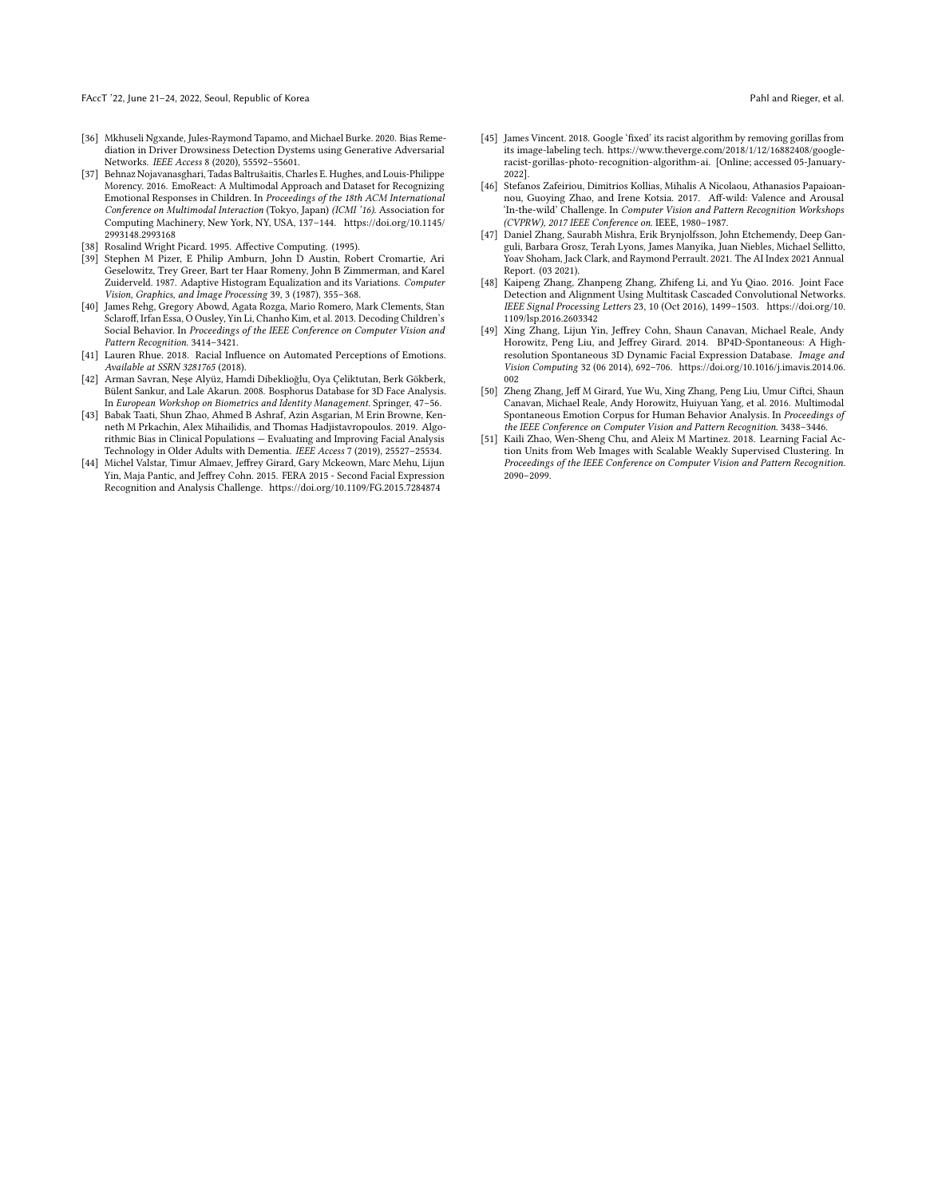FAccT '22, June 21-24, 2022, Seoul, Republic of Korea Pahl and Rieger, et al. Pahl and Rieger, et al.

- <span id="page-11-5"></span>[36] Mkhuseli Ngxande, Jules-Raymond Tapamo, and Michael Burke. 2020. Bias Remediation in Driver Drowsiness Detection Dystems using Generative Adversarial Networks. IEEE Access 8 (2020), 55592–55601.
- <span id="page-11-10"></span>[37] Behnaz Nojavanasghari, Tadas Baltrušaitis, Charles E. Hughes, and Louis-Philippe Morency. 2016. EmoReact: A Multimodal Approach and Dataset for Recognizing Emotional Responses in Children. In Proceedings of the 18th ACM International Conference on Multimodal Interaction (Tokyo, Japan) (ICMI '16). Association for Computing Machinery, New York, NY, USA, 137–144. [https://doi.org/10.1145/](https://doi.org/10.1145/2993148.2993168) [2993148.2993168](https://doi.org/10.1145/2993148.2993168)
- <span id="page-11-2"></span>Rosalind Wright Picard. 1995. Affective Computing. (1995).
- <span id="page-11-15"></span>[39] Stephen M Pizer, E Philip Amburn, John D Austin, Robert Cromartie, Ari Geselowitz, Trey Greer, Bart ter Haar Romeny, John B Zimmerman, and Karel Zuiderveld. 1987. Adaptive Histogram Equalization and its Variations. Computer Vision, Graphics, and Image Processing 39, 3 (1987), 355–368.
- <span id="page-11-11"></span>[40] James Rehg, Gregory Abowd, Agata Rozga, Mario Romero, Mark Clements, Stan Sclaroff, Irfan Essa, O Ousley, Yin Li, Chanho Kim, et al. 2013. Decoding Children's Social Behavior. In Proceedings of the IEEE Conference on Computer Vision and Pattern Recognition. 3414–3421.
- <span id="page-11-4"></span>[41] Lauren Rhue. 2018. Racial Influence on Automated Perceptions of Emotions. Available at SSRN 3281765 (2018).
- <span id="page-11-13"></span>[42] Arman Savran, Neşe Alyüz, Hamdi Dibeklioğlu, Oya Çeliktutan, Berk Gökberk, Bülent Sankur, and Lale Akarun. 2008. Bosphorus Database for 3D Face Analysis. In European Workshop on Biometrics and Identity Management. Springer, 47–56.
- <span id="page-11-6"></span>[43] Babak Taati, Shun Zhao, Ahmed B Ashraf, Azin Asgarian, M Erin Browne, Kenneth M Prkachin, Alex Mihailidis, and Thomas Hadjistavropoulos. 2019. Algorithmic Bias in Clinical Populations — Evaluating and Improving Facial Analysis Technology in Older Adults with Dementia. IEEE Access 7 (2019), 25527–25534.
- <span id="page-11-14"></span>[44] Michel Valstar, Timur Almaev, Jeffrey Girard, Gary Mckeown, Marc Mehu, Lijun Yin, Maja Pantic, and Jeffrey Cohn. 2015. FERA 2015 - Second Facial Expression Recognition and Analysis Challenge.<https://doi.org/10.1109/FG.2015.7284874>
- <span id="page-11-1"></span>[45] James Vincent. 2018. Google 'fixed' its racist algorithm by removing gorillas from its image-labeling tech. [https://www.theverge.com/2018/1/12/16882408/google](https://www.theverge.com/2018/1/12/16882408/google-racist-gorillas-photo-recognition-algorithm-ai)[racist-gorillas-photo-recognition-algorithm-ai.](https://www.theverge.com/2018/1/12/16882408/google-racist-gorillas-photo-recognition-algorithm-ai) [Online; accessed 05-January-2022].
- <span id="page-11-7"></span>[46] Stefanos Zafeiriou, Dimitrios Kollias, Mihalis A Nicolaou, Athanasios Papaioannou, Guoying Zhao, and Irene Kotsia. 2017. Aff-wild: Valence and Arousal 'In-the-wild' Challenge. In Computer Vision and Pattern Recognition Workshops (CVPRW), 2017 IEEE Conference on. IEEE, 1980–1987.
- <span id="page-11-0"></span>[47] Daniel Zhang, Saurabh Mishra, Erik Brynjolfsson, John Etchemendy, Deep Ganguli, Barbara Grosz, Terah Lyons, James Manyika, Juan Niebles, Michael Sellitto, Yoav Shoham, Jack Clark, and Raymond Perrault. 2021. The AI Index 2021 Annual Report. (03 2021).
- <span id="page-11-12"></span>[48] Kaipeng Zhang, Zhanpeng Zhang, Zhifeng Li, and Yu Qiao. 2016. Joint Face Detection and Alignment Using Multitask Cascaded Convolutional Networks. IEEE Signal Processing Letters 23, 10 (Oct 2016), 1499–1503. [https://doi.org/10.](https://doi.org/10.1109/lsp.2016.2603342) [1109/lsp.2016.2603342](https://doi.org/10.1109/lsp.2016.2603342)
- <span id="page-11-8"></span>[49] Xing Zhang, Lijun Yin, Jeffrey Cohn, Shaun Canavan, Michael Reale, Andy Horowitz, Peng Liu, and Jeffrey Girard. 2014. BP4D-Spontaneous: A Highresolution Spontaneous 3D Dynamic Facial Expression Database. Image and Vision Computing 32 (06 2014), 692–706. [https://doi.org/10.1016/j.imavis.2014.06.](https://doi.org/10.1016/j.imavis.2014.06.002) [002](https://doi.org/10.1016/j.imavis.2014.06.002)
- <span id="page-11-9"></span>[50] Zheng Zhang, Jeff M Girard, Yue Wu, Xing Zhang, Peng Liu, Umur Ciftci, Shaun Canavan, Michael Reale, Andy Horowitz, Huiyuan Yang, et al. 2016. Multimodal Spontaneous Emotion Corpus for Human Behavior Analysis. In Proceedings of the IEEE Conference on Computer Vision and Pattern Recognition. 3438–3446.
- <span id="page-11-3"></span>[51] Kaili Zhao, Wen-Sheng Chu, and Aleix M Martinez. 2018. Learning Facial Action Units from Web Images with Scalable Weakly Supervised Clustering. In Proceedings of the IEEE Conference on Computer Vision and Pattern Recognition. 2090–2099.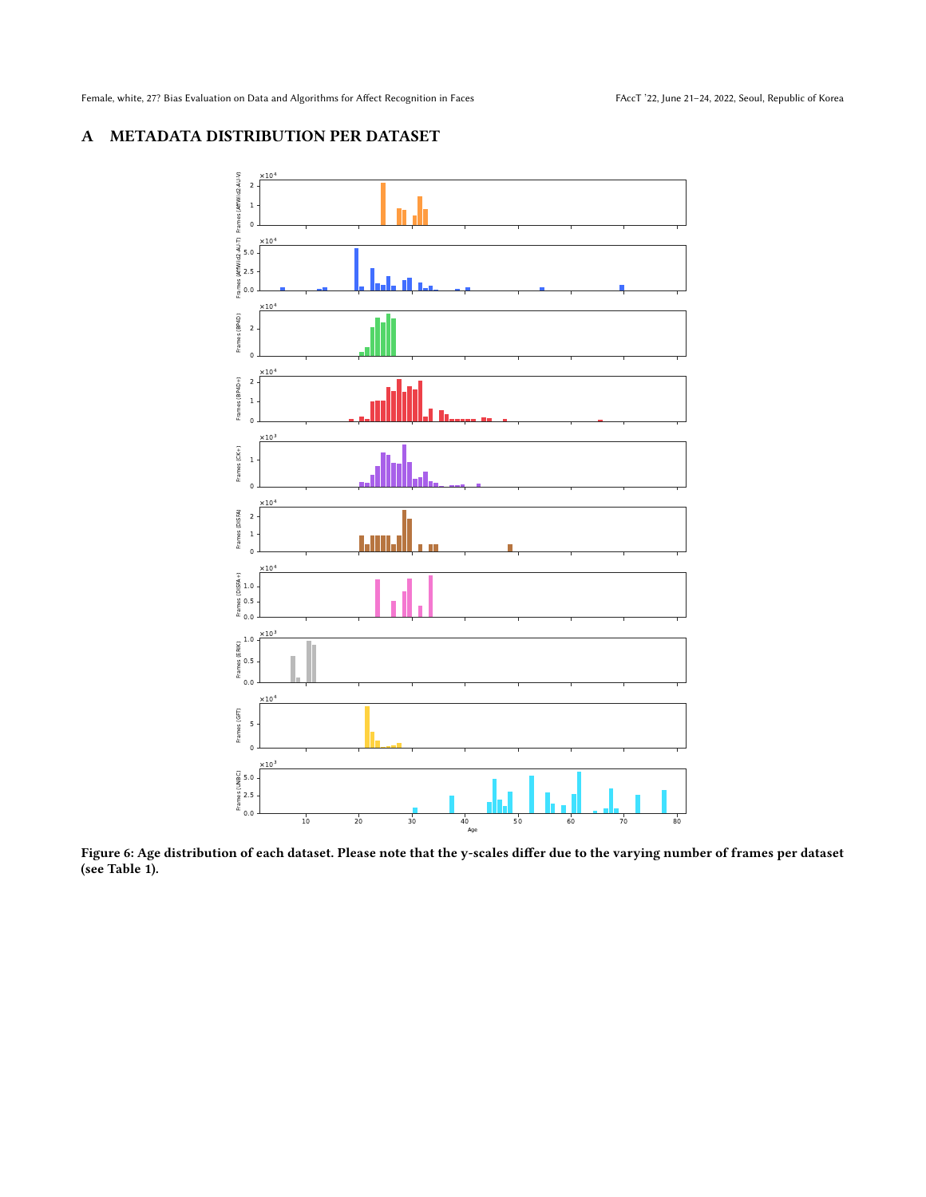Female, white, 27? Bias Evaluation on Data and Algorithms for Affect Recognition in Faces FAccT '22, June 21-24, 2022, Seoul, Republic of Korea

# <span id="page-12-0"></span>A METADATA DISTRIBUTION PER DATASET



Figure 6: Age distribution of each dataset. Please note that the y-scales differ due to the varying number of frames per dataset (see Table [1\)](#page-2-0).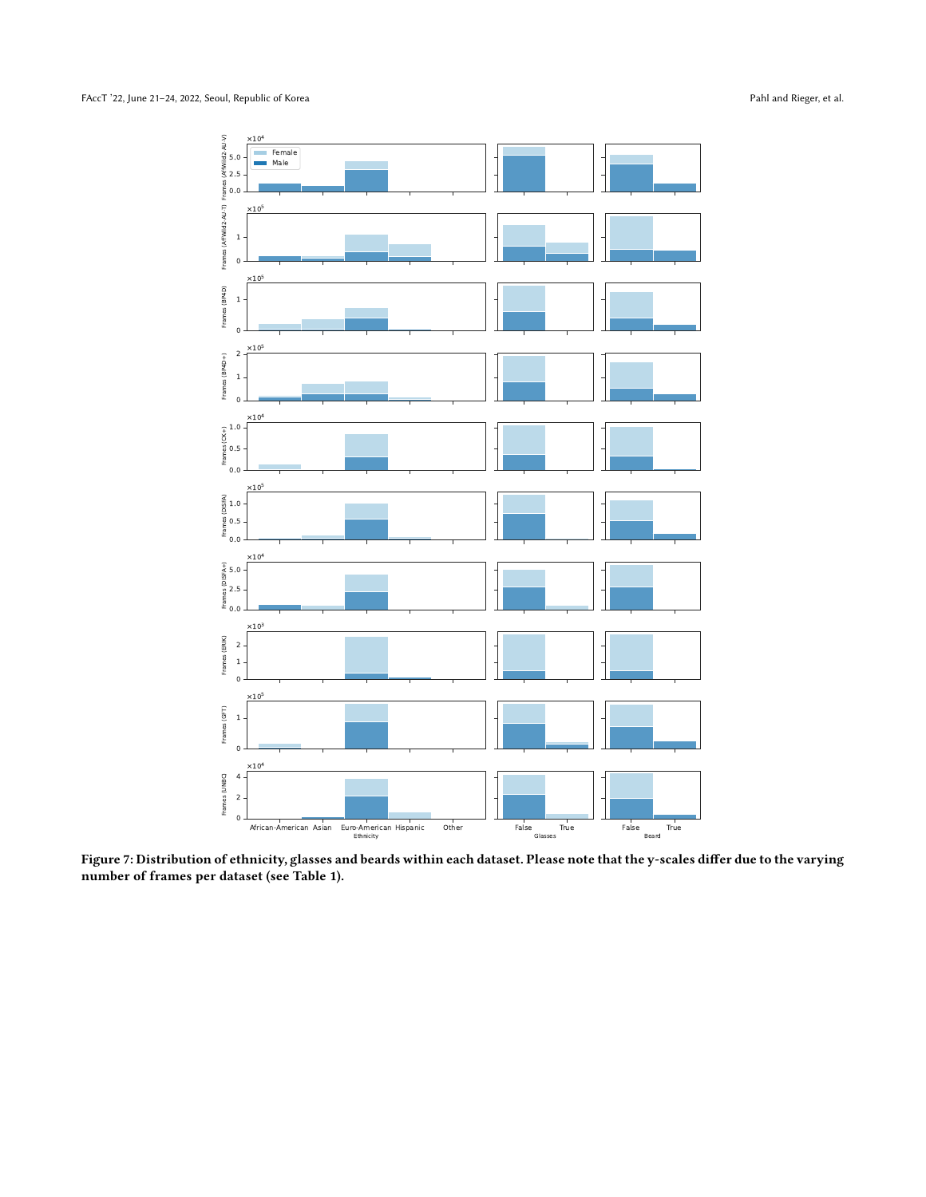<span id="page-13-0"></span>

Figure 7: Distribution of ethnicity, glasses and beards within each dataset. Please note that the y-scales differ due to the varying number of frames per dataset (see Table [1\)](#page-2-0).